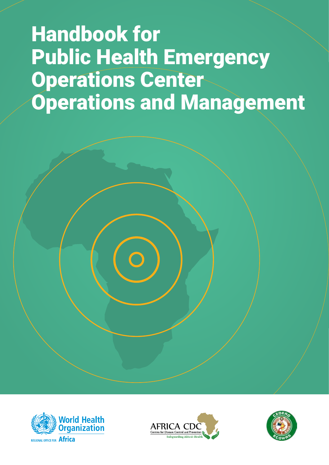# Handbook for Public Health Emergency Operations Center Operations and Management





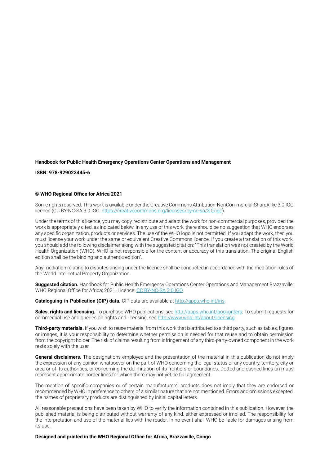#### **Handbook for Public Health Emergency Operations Center Operations and Management**

**ISBN: 978-929023445-6**

#### **© WHO Regional Office for Africa 2021**

Some rights reserved. This work is available under the Creative Commons Attribution-NonCommercial-ShareAlike 3.0 IGO licence (CC BY-NC-SA 3.0 IGO;<https://creativecommons.org/licenses/by-nc-sa/3.0/igo>).

Under the terms of this licence, you may copy, redistribute and adapt the work for non-commercial purposes, provided the work is appropriately cited, as indicated below. In any use of this work, there should be no suggestion that WHO endorses any specific organization, products or services. The use of the WHO logo is not permitted. If you adapt the work, then you must license your work under the same or equivalent Creative Commons licence. If you create a translation of this work, you should add the following disclaimer along with the suggested citation: "This translation was not created by the World Health Organization (WHO). WHO is not responsible for the content or accuracy of this translation. The original English edition shall be the binding and authentic edition".

Any mediation relating to disputes arising under the licence shall be conducted in accordance with the mediation rules of the World Intellectual Property Organization.

**Suggested citation.** Handbook for Public Health Emergency Operations Center Operations and Management Brazzaville: WHO Regional Office for Africa; 2021. Licence: CC [BY-NC-SA](https://creativecommons.org/licenses/by-nc-sa/3.0/igo/) 3.0 IGO.

**Cataloguing-in-Publication (CIP) data.** CIP data are available at<http://apps.who.int/iris>.

**Sales, rights and licensing.** To purchase WHO publications, see <http://apps.who.int/bookorders>. To submit requests for commercial use and queries on rights and licensing, see [http://www.who.int/about/licensing.](http://www.who.int/about/licensing)

**Third-party materials.** If you wish to reuse material from this work that is attributed to a third party, such as tables, figures or images, it is your responsibility to determine whether permission is needed for that reuse and to obtain permission from the copyright holder. The risk of claims resulting from infringement of any third-party-owned component in the work rests solely with the user.

**General disclaimers.** The designations employed and the presentation of the material in this publication do not imply the expression of any opinion whatsoever on the part of WHO concerning the legal status of any country, territory, city or area or of its authorities, or concerning the delimitation of its frontiers or boundaries. Dotted and dashed lines on maps represent approximate border lines for which there may not yet be full agreement.

The mention of specific companies or of certain manufacturers' products does not imply that they are endorsed or recommended by WHO in preference to others of a similar nature that are not mentioned. Errors and omissions excepted, the names of proprietary products are distinguished by initial capital letters.

All reasonable precautions have been taken by WHO to verify the information contained in this publication. However, the published material is being distributed without warranty of any kind, either expressed or implied. The responsibility for the interpretation and use of the material lies with the reader. In no event shall WHO be liable for damages arising from its use.

**Designed and printed in the WHO Regional Office for Africa, Brazzaville, Congo**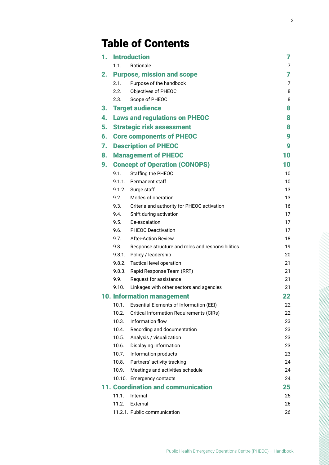## Table of Contents

| 1. |        | <b>Introduction</b>                               | 7  |
|----|--------|---------------------------------------------------|----|
|    | 1.1.   | Rationale                                         | 7  |
| 2. |        | <b>Purpose, mission and scope</b>                 | 7  |
|    | 2.1.   | Purpose of the handbook                           | 7  |
|    | 2.2.   | Objectives of PHEOC                               | 8  |
|    | 2.3.   | Scope of PHEOC                                    | 8  |
| 3. |        | <b>Target audience</b>                            | 8  |
| 4. |        | <b>Laws and regulations on PHEOC</b>              | 8  |
| 5. |        | <b>Strategic risk assessment</b>                  | 8  |
| 6. |        | <b>Core components of PHEOC</b>                   | 9  |
| 7. |        | <b>Description of PHEOC</b>                       | 9  |
| 8. |        | <b>Management of PHEOC</b>                        | 10 |
| 9. |        | <b>Concept of Operation (CONOPS)</b>              | 10 |
|    | 9.1.   | Staffing the PHEOC                                | 10 |
|    | 9.1.1. | Permanent staff                                   | 10 |
|    |        | 9.1.2. Surge staff                                | 13 |
|    | 9.2.   | Modes of operation                                | 13 |
|    | 9.3.   | Criteria and authority for PHEOC activation       | 16 |
|    | 9.4.   | Shift during activation                           | 17 |
|    | 9.5.   | De-escalation                                     | 17 |
|    | 9.6.   | <b>PHEOC Deactivation</b>                         | 17 |
|    | 9.7.   | <b>After-Action Review</b>                        | 18 |
|    | 9.8.   | Response structure and roles and responsibilities | 19 |
|    |        | 9.8.1. Policy / leadership                        | 20 |
|    |        | 9.8.2. Tactical level operation                   | 21 |
|    | 9.8.3. | Rapid Response Team (RRT)                         | 21 |
|    | 9.9.   | Request for assistance                            | 21 |
|    | 9.10.  | Linkages with other sectors and agencies          | 21 |
|    |        | <b>10. Information management</b>                 | 22 |
|    | 10.1.  | <b>Essential Elements of Information (EEI)</b>    | 22 |
|    | 10.2.  | <b>Critical Information Requirements (CIRs)</b>   | 22 |
|    | 10.3.  | Information flow                                  | 23 |
|    | 10.4.  | Recording and documentation                       | 23 |
|    | 10.5.  | Analysis / visualization                          | 23 |
|    | 10.6.  | Displaying information                            | 23 |
|    | 10.7.  | Information products                              | 23 |
|    | 10.8.  | Partners' activity tracking                       | 24 |
|    | 10.9.  | Meetings and activities schedule                  | 24 |
|    |        | 10.10. Emergency contacts                         | 24 |
|    |        | <b>11. Coordination and communication</b>         | 25 |
|    | 11.1.  | Internal                                          | 25 |
|    | 11.2.  | External                                          | 26 |
|    |        | 11.2.1. Public communication                      | 26 |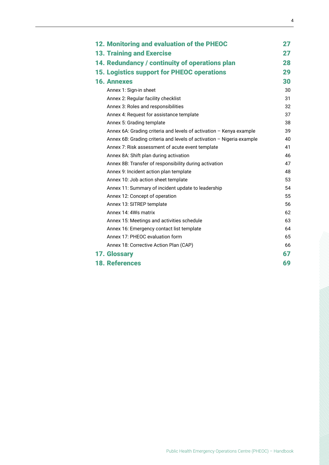| 12. Monitoring and evaluation of the PHEOC                            | 27 |
|-----------------------------------------------------------------------|----|
| <b>13. Training and Exercise</b>                                      | 27 |
| 14. Redundancy / continuity of operations plan                        | 28 |
| <b>15. Logistics support for PHEOC operations</b>                     | 29 |
| <b>16. Annexes</b>                                                    | 30 |
| Annex 1: Sign-in sheet                                                | 30 |
| Annex 2: Regular facility checklist                                   | 31 |
| Annex 3: Roles and responsibilities                                   | 32 |
| Annex 4: Request for assistance template                              | 37 |
| Annex 5: Grading template                                             | 38 |
| Annex 6A: Grading criteria and levels of activation - Kenya example   | 39 |
| Annex 6B: Grading criteria and levels of activation - Nigeria example | 40 |
| Annex 7: Risk assessment of acute event template                      | 41 |
| Annex 8A: Shift plan during activation                                | 46 |
| Annex 8B: Transfer of responsibility during activation                | 47 |
| Annex 9: Incident action plan template                                | 48 |
| Annex 10: Job action sheet template                                   | 53 |
| Annex 11: Summary of incident update to leadership                    | 54 |
| Annex 12: Concept of operation                                        | 55 |
| Annex 13: SITREP template                                             | 56 |
| Annex 14: 4Ws matrix                                                  | 62 |
| Annex 15: Meetings and activities schedule                            | 63 |
| Annex 16: Emergency contact list template                             | 64 |
| Annex 17: PHEOC evaluation form                                       | 65 |
| Annex 18: Corrective Action Plan (CAP)                                | 66 |
| 17. Glossary                                                          | 67 |
| <b>18. References</b>                                                 | 69 |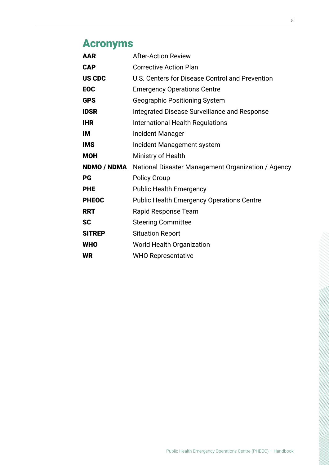## Acronyms

| <b>AAR</b>    | <b>After-Action Review</b>                         |
|---------------|----------------------------------------------------|
| <b>CAP</b>    | <b>Corrective Action Plan</b>                      |
| <b>US CDC</b> | U.S. Centers for Disease Control and Prevention    |
| <b>EOC</b>    | <b>Emergency Operations Centre</b>                 |
| <b>GPS</b>    | <b>Geographic Positioning System</b>               |
| <b>IDSR</b>   | Integrated Disease Surveillance and Response       |
| <b>IHR</b>    | <b>International Health Regulations</b>            |
| IМ            | Incident Manager                                   |
| <b>IMS</b>    | Incident Management system                         |
| <b>MOH</b>    | Ministry of Health                                 |
| NDMO / NDMA   | National Disaster Management Organization / Agency |
| PG            | <b>Policy Group</b>                                |
| <b>PHE</b>    | <b>Public Health Emergency</b>                     |
| <b>PHEOC</b>  | <b>Public Health Emergency Operations Centre</b>   |
| <b>RRT</b>    | Rapid Response Team                                |
| <b>SC</b>     | <b>Steering Committee</b>                          |
| <b>SITREP</b> | <b>Situation Report</b>                            |
| <b>WHO</b>    | <b>World Health Organization</b>                   |
| <b>WR</b>     | <b>WHO Representative</b>                          |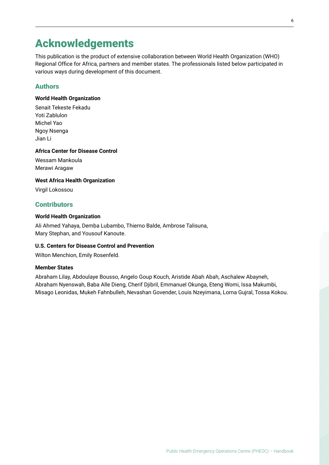### Acknowledgements

This publication is the product of extensive collaboration between World Health Organization (WHO) Regional Office for Africa, partners and member states. The professionals listed below participated in various ways during development of this document.

#### Authors

#### **World Health Organization**

Senait Tekeste Fekadu Yoti Zablulon Michel Yao Ngoy Nsenga Jian Li

#### **Africa Center for Disease Control**

Wessam Mankoula Merawi Aragaw

#### **West Africa Health Organization**

Virgil Lokossou

#### **Contributors**

#### **World Health Organization**

Ali Ahmed Yahaya, Demba Lubambo, Thierno Balde, Ambrose Talisuna, Mary Stephan, and Yousouf Kanoute.

#### **U.S. Centers for Disease Control and Prevention**

Wilton Menchion, Emily Rosenfeld.

#### **Member States**

Abraham Lilay, Abdoulaye Bousso, Angelo Goup Kouch, Aristide Abah Abah, Aschalew Abayneh, Abraham Nyenswah, Baba Alle Dieng, Cherif Djibril, Emmanuel Okunga, Eteng Womi, Issa Makumbi, Misago Leonidas, Mukeh Fahnbulleh, Nevashan Govender, Louis Nzeyimana, Lorna Gujral, Tossa Kokou.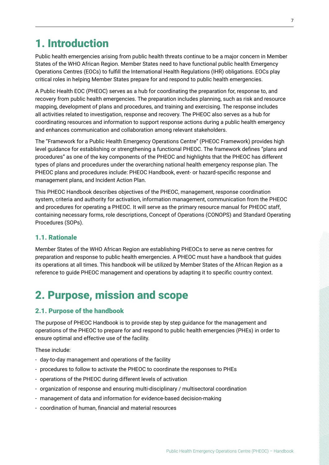### <span id="page-6-0"></span>1. Introduction

Public health emergencies arising from public health threats continue to be a major concern in Member States of the WHO African Region. Member States need to have functional public health Emergency Operations Centres (EOCs) to fulfill the International Health Regulations (IHR) obligations. EOCs play critical roles in helping Member States prepare for and respond to public health emergencies.

A Public Health EOC (PHEOC) serves as a hub for coordinating the preparation for, response to, and recovery from public health emergencies. The preparation includes planning, such as risk and resource mapping, development of plans and procedures, and training and exercising. The response includes all activities related to investigation, response and recovery. The PHEOC also serves as a hub for coordinating resources and information to support response actions during a public health emergency and enhances communication and collaboration among relevant stakeholders.

The "Framework for a Public Health Emergency Operations Centre" (PHEOC Framework) provides high level guidance for establishing or strengthening a functional PHEOC. The framework defines "plans and procedures" as one of the key components of the PHEOC and highlights that the PHEOC has different types of plans and procedures under the overarching national health emergency response plan. The PHEOC plans and procedures include: PHEOC Handbook, event- or hazard-specific response and management plans, and Incident Action Plan.

This PHEOC Handbook describes objectives of the PHEOC, management, response coordination system, criteria and authority for activation, information management, communication from the PHEOC and procedures for operating a PHEOC. It will serve as the primary resource manual for PHEOC staff, containing necessary forms, role descriptions, Concept of Operations (CONOPS) and Standard Operating Procedures (SOPs).

#### 1.1. Rationale

Member States of the WHO African Region are establishing PHEOCs to serve as nerve centres for preparation and response to public health emergencies. A PHEOC must have a handbook that guides its operations at all times. This handbook will be utilized by Member States of the African Region as a reference to guide PHEOC management and operations by adapting it to specific country context.

### 2. Purpose, mission and scope

#### 2.1. Purpose of the handbook

The purpose of PHEOC Handbook is to provide step by step guidance for the management and operations of the PHEOC to prepare for and respond to public health emergencies (PHEs) in order to ensure optimal and effective use of the facility.

These include:

- day-to-day management and operations of the facility
- procedures to follow to activate the PHEOC to coordinate the responses to PHEs
- operations of the PHEOC during different levels of activation
- organization of response and ensuring multi-disciplinary / multisectoral coordination
- management of data and information for evidence-based decision-making
- coordination of human, financial and material resources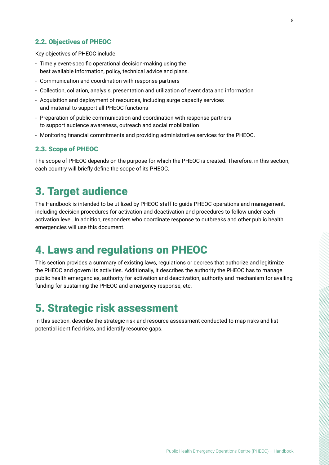#### <span id="page-7-0"></span>2.2. Objectives of PHEOC

Key objectives of PHEOC include:

- Timely event-specific operational decision-making using the best available information, policy, technical advice and plans.
- Communication and coordination with response partners
- Collection, collation, analysis, presentation and utilization of event data and information
- Acquisition and deployment of resources, including surge capacity services and material to support all PHEOC functions
- Preparation of public communication and coordination with response partners to support audience awareness, outreach and social mobilization
- Monitoring financial commitments and providing administrative services for the PHEOC.

#### 2.3. Scope of PHEOC

The scope of PHEOC depends on the purpose for which the PHEOC is created. Therefore, in this section, each country will briefly define the scope of its PHEOC.

### 3. Target audience

The Handbook is intended to be utilized by PHEOC staff to guide PHEOC operations and management, including decision procedures for activation and deactivation and procedures to follow under each activation level. In addition, responders who coordinate response to outbreaks and other public health emergencies will use this document.

### 4. Laws and regulations on PHEOC

This section provides a summary of existing laws, regulations or decrees that authorize and legitimize the PHEOC and govern its activities. Additionally, it describes the authority the PHEOC has to manage public health emergencies, authority for activation and deactivation, authority and mechanism for availing funding for sustaining the PHEOC and emergency response, etc.

### 5. Strategic risk assessment

In this section, describe the strategic risk and resource assessment conducted to map risks and list potential identified risks, and identify resource gaps.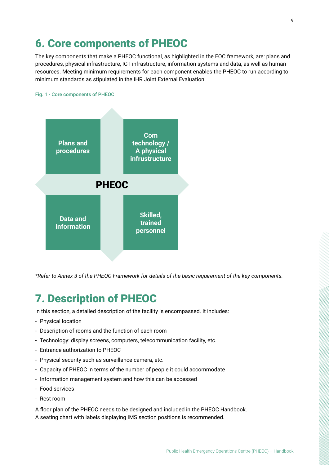### <span id="page-8-0"></span>6. Core components of PHEOC

The key components that make a PHEOC functional, as highlighted in the EOC framework, are: plans and procedures, physical infrastructure, ICT infrastructure, information systems and data, as well as human resources. Meeting minimum requirements for each component enables the PHEOC to run according to minimum standards as stipulated in the IHR Joint External Evaluation.

#### Fig. 1 - Core components of PHEOC



*\*Refer to Annex 3 of the PHEOC Framework for details of the basic requirement of the key components.*

## 7. Description of PHEOC

In this section, a detailed description of the facility is encompassed. It includes:

- Physical location
- Description of rooms and the function of each room
- Technology: display screens, computers, telecommunication facility, etc.
- Entrance authorization to PHEOC
- Physical security such as surveillance camera, etc.
- Capacity of PHEOC in terms of the number of people it could accommodate
- Information management system and how this can be accessed
- Food services
- Rest room

A floor plan of the PHEOC needs to be designed and included in the PHEOC Handbook. A seating chart with labels displaying IMS section positions is recommended.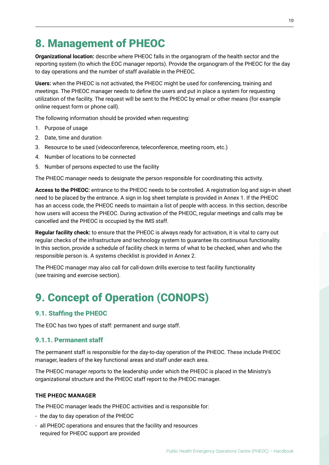### <span id="page-9-0"></span>8. Management of PHEOC

**Organizational location:** describe where PHEOC falls in the organogram of the health sector and the reporting system (to which the EOC manager reports). Provide the organogram of the PHEOC for the day to day operations and the number of staff available in the PHEOC.

**Users:** when the PHEOC is not activated, the PHEOC might be used for conferencing, training and meetings. The PHEOC manager needs to define the users and put in place a system for requesting utilization of the facility. The request will be sent to the PHEOC by email or other means (for example online request form or phone call).

The following information should be provided when requesting:

- 1. Purpose of usage
- 2. Date, time and duration
- 3. Resource to be used (videoconference, teleconference, meeting room, etc.)
- 4. Number of locations to be connected
- 5. Number of persons expected to use the facility

The PHEOC manager needs to designate the person responsible for coordinating this activity.

**Access to the PHEOC:** entrance to the PHEOC needs to be controlled. A registration log and sign-in sheet need to be placed by the entrance. A sign in log sheet template is provided in Annex 1. If the PHEOC has an access code, the PHEOC needs to maintain a list of people with access. In this section, describe how users will access the PHEOC. During activation of the PHEOC, regular meetings and calls may be cancelled and the PHEOC is occupied by the IMS staff.

**Regular facility check:** to ensure that the PHEOC is always ready for activation, it is vital to carry out regular checks of the infrastructure and technology system to guarantee its continuous functionality. In this section, provide a schedule of facility check in terms of what to be checked, when and who the responsible person is. A systems checklist is provided in Annex 2.

The PHEOC manager may also call for call-down drills exercise to test facility functionality (see training and exercise section).

## 9. Concept of Operation (CONOPS)

#### 9.1. Staffing the PHEOC

The EOC has two types of staff: permanent and surge staff.

#### 9.1.1. Permanent staff

The permanent staff is responsible for the day-to-day operation of the PHEOC. These include PHEOC manager, leaders of the key functional areas and staff under each area.

The PHEOC manager reports to the leadership under which the PHEOC is placed in the Ministry's organizational structure and the PHEOC staff report to the PHEOC manager.

#### **THE PHEOC MANAGER**

The PHEOC manager leads the PHEOC activities and is responsible for:

- the day to day operation of the PHEOC
- all PHEOC operations and ensures that the facility and resources required for PHEOC support are provided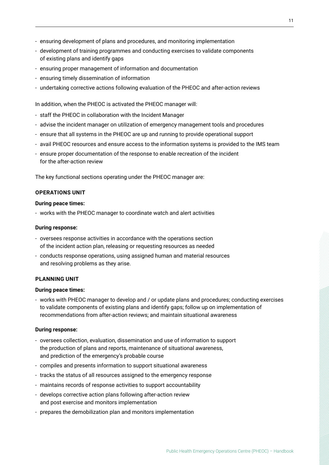- ensuring development of plans and procedures, and monitoring implementation
- development of training programmes and conducting exercises to validate components of existing plans and identify gaps
- ensuring proper management of information and documentation
- ensuring timely dissemination of information
- undertaking corrective actions following evaluation of the PHEOC and after-action reviews

In addition, when the PHEOC is activated the PHEOC manager will:

- staff the PHEOC in collaboration with the Incident Manager
- advise the incident manager on utilization of emergency management tools and procedures
- ensure that all systems in the PHEOC are up and running to provide operational support
- avail PHEOC resources and ensure access to the information systems is provided to the IMS team
- ensure proper documentation of the response to enable recreation of the incident for the after-action review

The key functional sections operating under the PHEOC manager are:

#### **OPERATIONS UNIT**

#### **During peace times:**

- works with the PHEOC manager to coordinate watch and alert activities

#### **During response:**

- oversees response activities in accordance with the operations section of the incident action plan, releasing or requesting resources as needed
- conducts response operations, using assigned human and material resources and resolving problems as they arise.

#### **PLANNING UNIT**

#### **During peace times:**

- works with PHEOC manager to develop and / or update plans and procedures; conducting exercises to validate components of existing plans and identify gaps; follow up on implementation of recommendations from after-action reviews; and maintain situational awareness

#### **During response:**

- oversees collection, evaluation, dissemination and use of information to support the production of plans and reports, maintenance of situational awareness, and prediction of the emergency's probable course
- compiles and presents information to support situational awareness
- tracks the status of all resources assigned to the emergency response
- maintains records of response activities to support accountability
- develops corrective action plans following after-action review and post exercise and monitors implementation
- prepares the demobilization plan and monitors implementation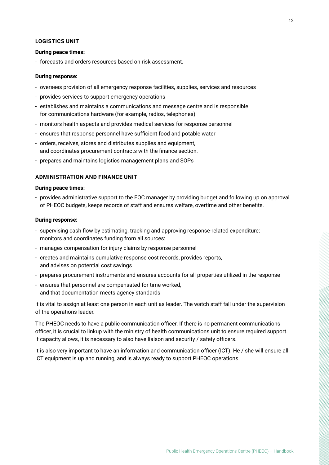#### **LOGISTICS UNIT**

#### **During peace times:**

- forecasts and orders resources based on risk assessment.

#### **During response:**

- oversees provision of all emergency response facilities, supplies, services and resources
- provides services to support emergency operations
- establishes and maintains a communications and message centre and is responsible for communications hardware (for example, radios, telephones)
- monitors health aspects and provides medical services for response personnel
- ensures that response personnel have sufficient food and potable water
- orders, receives, stores and distributes supplies and equipment, and coordinates procurement contracts with the finance section.
- prepares and maintains logistics management plans and SOPs

#### **ADMINISTRATION AND FINANCE UNIT**

#### **During peace times:**

- provides administrative support to the EOC manager by providing budget and following up on approval of PHEOC budgets, keeps records of staff and ensures welfare, overtime and other benefits.

#### **During response:**

- supervising cash flow by estimating, tracking and approving response-related expenditure; monitors and coordinates funding from all sources:
- manages compensation for injury claims by response personnel
- creates and maintains cumulative response cost records, provides reports, and advises on potential cost savings
- prepares procurement instruments and ensures accounts for all properties utilized in the response
- ensures that personnel are compensated for time worked, and that documentation meets agency standards

It is vital to assign at least one person in each unit as leader. The watch staff fall under the supervision of the operations leader.

The PHEOC needs to have a public communication officer. If there is no permanent communications officer, it is crucial to linkup with the ministry of health communications unit to ensure required support. If capacity allows, it is necessary to also have liaison and security / safety officers.

It is also very important to have an information and communication officer (ICT). He / she will ensure all ICT equipment is up and running, and is always ready to support PHEOC operations.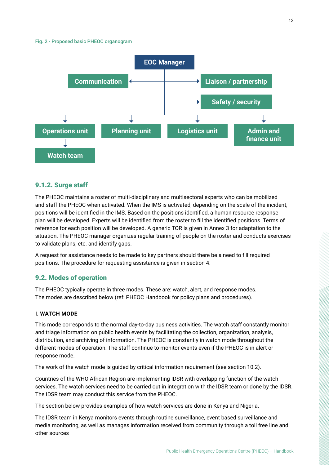<span id="page-12-0"></span>

#### 9.1.2. Surge staff

The PHEOC maintains a roster of multi-disciplinary and multisectoral experts who can be mobilized and staff the PHEOC when activated. When the IMS is activated, depending on the scale of the incident, positions will be identified in the IMS. Based on the positions identified, a human resource response plan will be developed. Experts will be identified from the roster to fill the identified positions. Terms of reference for each position will be developed. A generic TOR is given in Annex 3 for adaptation to the situation. The PHEOC manager organizes regular training of people on the roster and conducts exercises to validate plans, etc. and identify gaps.

A request for assistance needs to be made to key partners should there be a need to fill required positions. The procedure for requesting assistance is given in section 4.

#### 9.2. Modes of operation

The PHEOC typically operate in three modes. These are: watch, alert, and response modes. The modes are described below (ref: PHEOC Handbook for policy plans and procedures).

#### **I. WATCH MODE**

This mode corresponds to the normal day-to-day business activities. The watch staff constantly monitor and triage information on public health events by facilitating the collection, organization, analysis, distribution, and archiving of information. The PHEOC is constantly in watch mode throughout the different modes of operation. The staff continue to monitor events even if the PHEOC is in alert or response mode.

The work of the watch mode is guided by critical information requirement (see section 10.2).

Countries of the WHO African Region are implementing IDSR with overlapping function of the watch services. The watch services need to be carried out in integration with the IDSR team or done by the IDSR. The IDSR team may conduct this service from the PHEOC.

The section below provides examples of how watch services are done in Kenya and Nigeria.

The IDSR team in Kenya monitors events through routine surveillance, event based surveillance and media monitoring, as well as manages information received from community through a toll free line and other sources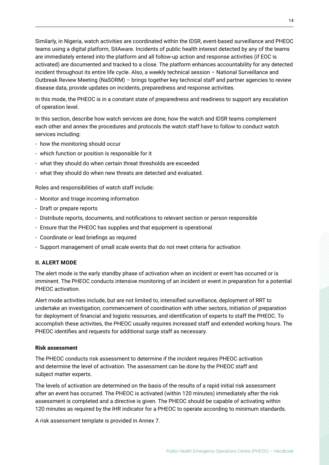Similarly, in Nigeria, watch activities are coordinated within the IDSR, event-based surveillance and PHEOC teams using a digital platform, SitAware. Incidents of public health interest detected by any of the teams are immediately entered into the platform and all follow-up action and response activities (if EOC is activated) are documented and tracked to a close. The platform enhances accountability for any detected incident throughout its entire life cycle. Also, a weekly technical session – National Surveillance and Outbreak Review Meeting (NaSORM) – brings together key technical staff and partner agencies to review disease data, provide updates on incidents, preparedness and response activities.

In this mode, the PHEOC is in a constant state of preparedness and readiness to support any escalation of operation level.

In this section, describe how watch services are done, how the watch and IDSR teams complement each other and annex the procedures and protocols the watch staff have to follow to conduct watch services including:

- how the monitoring should occur
- which function or position is responsible for it
- what they should do when certain threat thresholds are exceeded
- what they should do when new threats are detected and evaluated.

Roles and responsibilities of watch staff include:

- Monitor and triage incoming information
- Draft or prepare reports
- Distribute reports, documents, and notifications to relevant section or person responsible
- Ensure that the PHEOC has supplies and that equipment is operational
- Coordinate or lead briefings as required
- Support management of small scale events that do not meet criteria for activation

#### **II. ALERT MODE**

The alert mode is the early standby phase of activation when an incident or event has occurred or is imminent. The PHEOC conducts intensive monitoring of an incident or event in preparation for a potential PHEOC activation.

Alert mode activities include, but are not limited to, intensified surveillance, deployment of RRT to undertake an investigation, commencement of coordination with other sectors, initiation of preparation for deployment of financial and logistic resources, and identification of experts to staff the PHEOC. To accomplish these activities, the PHEOC usually requires increased staff and extended working hours. The PHEOC identifies and requests for additional surge staff as necessary.

#### **Risk assessment**

The PHEOC conducts risk assessment to determine if the incident requires PHEOC activation and determine the level of activation. The assessment can be done by the PHEOC staff and subject matter experts.

The levels of activation are determined on the basis of the results of a rapid initial risk assessment after an event has occurred. The PHEOC is activated (within 120 minutes) immediately after the risk assessment is completed and a directive is given. The PHEOC should be capable of activating within 120 minutes as required by the IHR indicator for a PHEOC to operate according to minimum standards.

A risk assessment template is provided in Annex 7.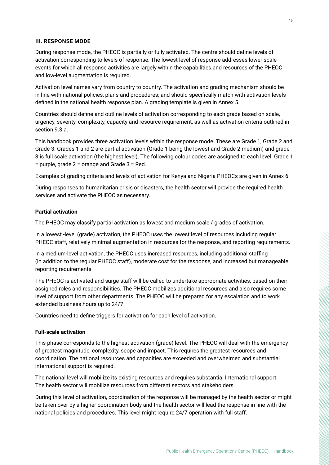#### **III. RESPONSE MODE**

During response mode, the PHEOC is partially or fully activated. The centre should define levels of activation corresponding to levels of response. The lowest level of response addresses lower scale events for which all response activities are largely within the capabilities and resources of the PHEOC and low-level augmentation is required.

Activation level names vary from country to country. The activation and grading mechanism should be in line with national policies, plans and procedures; and should specifically match with activation levels defined in the national health response plan. A grading template is given in Annex 5.

Countries should define and outline levels of activation corresponding to each grade based on scale, urgency, severity, complexity, capacity and resource requirement, as well as activation criteria outlined in section 9.3 a.

This handbook provides three activation levels within the response mode. These are Grade 1, Grade 2 and Grade 3. Grades 1 and 2 are partial activation (Grade 1 being the lowest and Grade 2 medium) and grade 3 is full scale activation (the highest level). The following colour codes are assigned to each level: Grade 1 = purple, grade 2 = orange and Grade 3 = Red.

Examples of grading criteria and levels of activation for Kenya and Nigeria PHEOCs are given in Annex 6.

During responses to humanitarian crisis or disasters, the health sector will provide the required health services and activate the PHEOC as necessary.

#### **Partial activation**

The PHEOC may classify partial activation as lowest and medium scale / grades of activation.

In a lowest -level (grade) activation, the PHEOC uses the lowest level of resources including regular PHEOC staff, relatively minimal augmentation in resources for the response, and reporting requirements.

In a medium-level activation, the PHEOC uses increased resources, including additional staffing (in addition to the regular PHEOC staff), moderate cost for the response, and increased but manageable reporting requirements.

The PHEOC is activated and surge staff will be called to undertake appropriate activities, based on their assigned roles and responsibilities. The PHEOC mobilizes additional resources and also requires some level of support from other departments. The PHEOC will be prepared for any escalation and to work extended business hours up to 24/7.

Countries need to define triggers for activation for each level of activation.

#### **Full-scale activation**

This phase corresponds to the highest activation (grade) level. The PHEOC will deal with the emergency of greatest magnitude, complexity, scope and impact. This requires the greatest resources and coordination. The national resources and capacities are exceeded and overwhelmed and substantial international support is required.

The national level will mobilize its existing resources and requires substantial International support. The health sector will mobilize resources from different sectors and stakeholders.

During this level of activation, coordination of the response will be managed by the health sector or might be taken over by a higher coordination body and the health sector will lead the response in line with the national policies and procedures. This level might require 24/7 operation with full staff.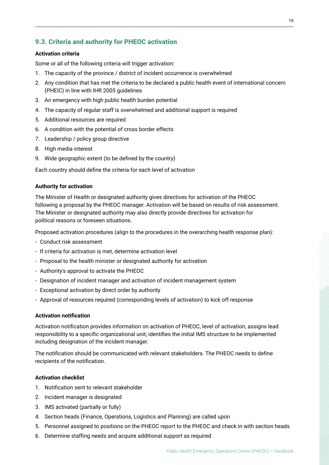#### <span id="page-15-0"></span>9.3. Criteria and authority for PHEOC activation

#### **Activation criteria**

Some or all of the following criteria will trigger activation:

- 1. The capacity of the province / district of incident occurrence is overwhelmed
- 2. Any condition that has met the criteria to be declared a public health event of international concern (PHEIC) in line with IHR 2005 guidelines
- 3. An emergency with high public health burden potential
- 4. The capacity of regular staff is overwhelmed and additional support is required
- 5. Additional resources are required
- 6. A condition with the potential of cross border effects
- 7. Leadership / policy group directive
- 8. High media interest
- 9. Wide geographic extent (to be defined by the country)

Each country should define the criteria for each level of activation

#### **Authority for activation**

The Minister of Health or designated authority gives directives for activation of the PHEOC following a proposal by the PHEOC manager. Activation will be based on results of risk assessment. The Minister or designated authority may also directly provide directives for activation for political reasons or foreseen situations.

Proposed activation procedures (align to the procedures in the overarching health response plan):

- Conduct risk assessment
- If criteria for activation is met, determine activation level
- Proposal to the health minister or designated authority for activation
- Authority's approval to activate the PHEOC
- Designation of incident manager and activation of incident management system
- Exceptional activation by direct order by authority
- Approval of resources required (corresponding levels of activation) to kick off response

#### **Activation notification**

Activation notification provides information on activation of PHEOC, level of activation, assigns lead responsibility to a specific organizational unit; identifies the initial IMS structure to be implemented including designation of the incident manager.

The notification should be communicated with relevant stakeholders. The PHEOC needs to define recipients of the notification.

#### **Activation checklist**

- 1. Notification sent to relevant stakeholder
- 2. Incident manager is designated
- 3. IMS activated (partially or fully)
- 4. Section heads (Finance, Operations, Logistics and Planning) are called upon
- 5. Personnel assigned to positions on the PHEOC report to the PHEOC and check in with section heads
- 6. Determine staffing needs and acquire additional support as required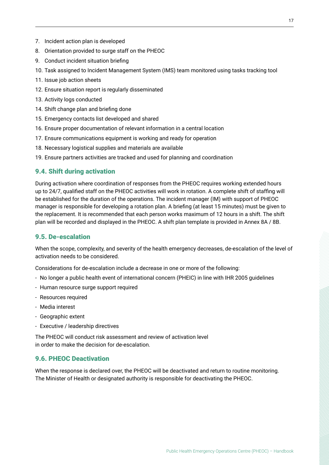- <span id="page-16-0"></span>7. Incident action plan is developed
- 8. Orientation provided to surge staff on the PHEOC
- 9. Conduct incident situation briefing
- 10. Task assigned to Incident Management System (IMS) team monitored using tasks tracking tool
- 11. Issue job action sheets
- 12. Ensure situation report is regularly disseminated
- 13. Activity logs conducted
- 14. Shift change plan and briefing done
- 15. Emergency contacts list developed and shared
- 16. Ensure proper documentation of relevant information in a central location
- 17. Ensure communications equipment is working and ready for operation
- 18. Necessary logistical supplies and materials are available
- 19. Ensure partners activities are tracked and used for planning and coordination

#### 9.4. Shift during activation

During activation where coordination of responses from the PHEOC requires working extended hours up to 24/7, qualified staff on the PHEOC activities will work in rotation. A complete shift of staffing will be established for the duration of the operations. The incident manager (IM) with support of PHEOC manager is responsible for developing a rotation plan. A briefing (at least 15 minutes) must be given to the replacement. It is recommended that each person works maximum of 12 hours in a shift. The shift plan will be recorded and displayed in the PHEOC. A shift plan template is provided in Annex 8A / 8B.

#### 9.5. De-escalation

When the scope, complexity, and severity of the health emergency decreases, de-escalation of the level of activation needs to be considered.

Considerations for de-escalation include a decrease in one or more of the following:

- No longer a public health event of international concern (PHEIC) in line with IHR 2005 guidelines
- Human resource surge support required
- Resources required
- Media interest
- Geographic extent
- Executive / leadership directives

The PHEOC will conduct risk assessment and review of activation level in order to make the decision for de-escalation.

#### 9.6. PHEOC Deactivation

When the response is declared over, the PHEOC will be deactivated and return to routine monitoring. The Minister of Health or designated authority is responsible for deactivating the PHEOC.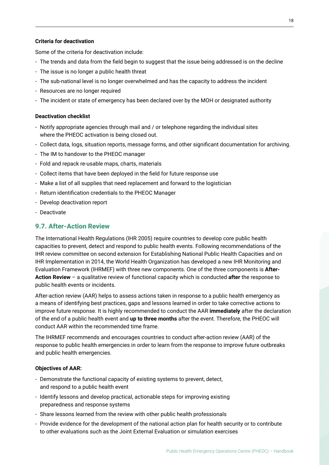#### <span id="page-17-0"></span>**Criteria for deactivation**

Some of the criteria for deactivation include:

- The trends and data from the field begin to suggest that the issue being addressed is on the decline
- The issue is no longer a public health threat
- The sub-national level is no longer overwhelmed and has the capacity to address the incident
- Resources are no longer required
- The incident or state of emergency has been declared over by the MOH or designated authority

#### **Deactivation checklist**

- Notify appropriate agencies through mail and / or telephone regarding the individual sites where the PHEOC activation is being closed out.
- Collect data, logs, situation reports, message forms, and other significant documentation for archiving.
- The IM to handover to the PHEOC manager
- Fold and repack re-usable maps, charts, materials
- Collect items that have been deployed in the field for future response use
- Make a list of all supplies that need replacement and forward to the logistician
- Return identification credentials to the PHEOC Manager
- Develop deactivation report
- Deactivate

#### 9.7. After-Action Review

The International Health Regulations (IHR 2005) require countries to develop core public health capacities to prevent, detect and respond to public health events. Following recommendations of the IHR review committee on second extension for Establishing National Public Health Capacities and on IHR Implementation in 2014, the World Health Organization has developed a new IHR Monitoring and Evaluation Framework (IHRMEF) with three new components. One of the three components is **After-Action Review** – a qualitative review of functional capacity which is conducted **after** the response to public health events or incidents.

After-action review (AAR) helps to assess actions taken in response to a public health emergency as a means of identifying best practices, gaps and lessons learned in order to take corrective actions to improve future response. It is highly recommended to conduct the AAR **immediately** after the declaration of the end of a public health event and **up to three months** after the event. Therefore, the PHEOC will conduct AAR within the recommended time frame.

The IHRMEF recommends and encourages countries to conduct after-action review (AAR) of the response to public health emergencies in order to learn from the response to improve future outbreaks and public health emergencies.

#### **Objectives of AAR:**

- Demonstrate the functional capacity of existing systems to prevent, detect, and respond to a public health event
- Identify lessons and develop practical, actionable steps for improving existing preparedness and response systems
- Share lessons learned from the review with other public health professionals
- Provide evidence for the development of the national action plan for health security or to contribute to other evaluations such as the Joint External Evaluation or simulation exercises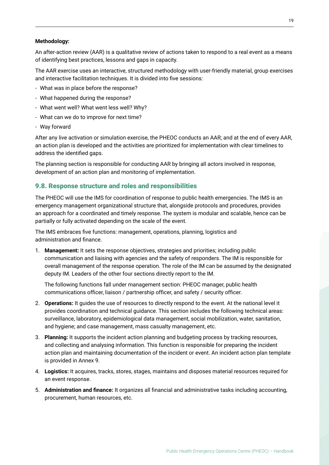#### <span id="page-18-0"></span>**Methodology:**

An after-action review (AAR) is a qualitative review of actions taken to respond to a real event as a means of identifying best practices, lessons and gaps in capacity.

The AAR exercise uses an interactive, structured methodology with user-friendly material, group exercises and interactive facilitation techniques. It is divided into five sessions:

- What was in place before the response?
- What happened during the response?
- What went well? What went less well? Why?
- What can we do to improve for next time?
- Way forward

After any live activation or simulation exercise, the PHEOC conducts an AAR; and at the end of every AAR, an action plan is developed and the activities are prioritized for implementation with clear timelines to address the identified gaps.

The planning section is responsible for conducting AAR by bringing all actors involved in response, development of an action plan and monitoring of implementation.

#### 9.8. Response structure and roles and responsibilities

The PHEOC will use the IMS for coordination of response to public health emergencies. The IMS is an emergency management organizational structure that, alongside protocols and procedures, provides an approach for a coordinated and timely response. The system is modular and scalable, hence can be partially or fully activated depending on the scale of the event.

The IMS embraces five functions: management, operations, planning, logistics and administration and finance.

1. **Management:** It sets the response objectives, strategies and priorities; including public communication and liaising with agencies and the safety of responders. The IM is responsible for overall management of the response operation. The role of the IM can be assumed by the designated deputy IM. Leaders of the other four sections directly report to the IM.

 The following functions fall under management section: PHEOC manager, public health communications officer, liaison / partnership officer, and safety / security officer.

- 2. **Operations:** It guides the use of resources to directly respond to the event. At the national level it provides coordination and technical guidance. This section includes the following technical areas: surveillance, laboratory, epidemiological data management, social mobilization, water, sanitation, and hygiene; and case management, mass casualty management, etc.
- 3. **Planning:** It supports the incident action planning and budgeting process by tracking resources, and collecting and analysing information. This function is responsible for preparing the incident action plan and maintaining documentation of the incident or event. An incident action plan template is provided in Annex 9.
- 4. **Logistics:** It acquires, tracks, stores, stages, maintains and disposes material resources required for an event response.
- 5. **Administration and finance:** It organizes all financial and administrative tasks including accounting, procurement, human resources, etc.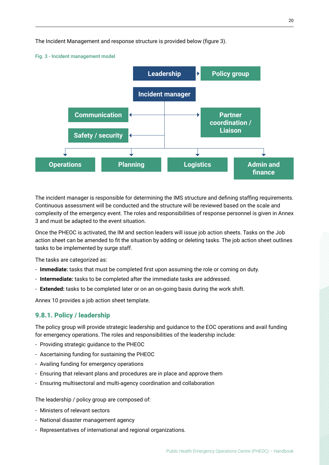<span id="page-19-0"></span>The Incident Management and response structure is provided below (figure 3).



Fig. 3 - Incident management model

The incident manager is responsible for determining the IMS structure and defining staffing requirements. Continuous assessment will be conducted and the structure will be reviewed based on the scale and complexity of the emergency event. The roles and responsibilities of response personnel is given in Annex 3 and must be adapted to the event situation.

Once the PHEOC is activated, the IM and section leaders will issue job action sheets. Tasks on the Job action sheet can be amended to fit the situation by adding or deleting tasks. The job action sheet outlines tasks to be implemented by surge staff.

The tasks are categorized as:

- **Immediate:** tasks that must be completed first upon assuming the role or coming on duty.
- **Intermediate:** tasks to be completed after the immediate tasks are addressed.
- **Extended:** tasks to be completed later or on an on-going basis during the work shift.

Annex 10 provides a job action sheet template.

#### 9.8.1. Policy / leadership

The policy group will provide strategic leadership and guidance to the EOC operations and avail funding for emergency operations. The roles and responsibilities of the leadership include:

- Providing strategic guidance to the PHEOC
- Ascertaining funding for sustaining the PHEOC
- Availing funding for emergency operations
- Ensuring that relevant plans and procedures are in place and approve them
- Ensuring multisectoral and multi-agency coordination and collaboration

The leadership / policy group are composed of:

- Ministers of relevant sectors
- National disaster management agency
- Representatives of international and regional organizations.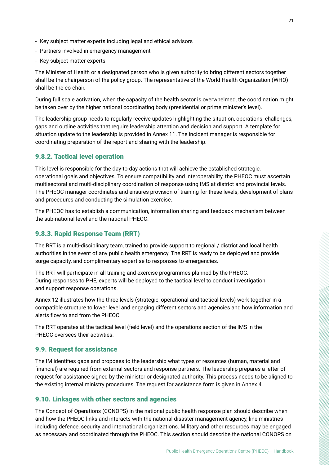- <span id="page-20-0"></span>- Key subject matter experts including legal and ethical advisors
- Partners involved in emergency management
- Key subject matter experts

The Minister of Health or a designated person who is given authority to bring different sectors together shall be the chairperson of the policy group. The representative of the World Health Organization (WHO) shall be the co-chair.

During full scale activation, when the capacity of the health sector is overwhelmed, the coordination might be taken over by the higher national coordinating body (presidential or prime minister's level).

The leadership group needs to regularly receive updates highlighting the situation, operations, challenges, gaps and outline activities that require leadership attention and decision and support. A template for situation update to the leadership is provided in Annex 11. The incident manager is responsible for coordinating preparation of the report and sharing with the leadership.

#### 9.8.2. Tactical level operation

This level is responsible for the day-to-day actions that will achieve the established strategic, operational goals and objectives. To ensure compatibility and interoperability, the PHEOC must ascertain multisectoral and multi-disciplinary coordination of response using IMS at district and provincial levels. The PHEOC manager coordinates and ensures provision of training for these levels, development of plans and procedures and conducting the simulation exercise.

The PHEOC has to establish a communication, information sharing and feedback mechanism between the sub-national level and the national PHEOC.

#### 9.8.3. Rapid Response Team (RRT)

The RRT is a multi-disciplinary team, trained to provide support to regional / district and local health authorities in the event of any public health emergency. The RRT is ready to be deployed and provide surge capacity, and complimentary expertise to responses to emergencies.

The RRT will participate in all training and exercise programmes planned by the PHEOC. During responses to PHE, experts will be deployed to the tactical level to conduct investigation and support response operations.

Annex 12 illustrates how the three levels (strategic, operational and tactical levels) work together in a compatible structure to lower level and engaging different sectors and agencies and how information and alerts flow to and from the PHEOC.

The RRT operates at the tactical level (field level) and the operations section of the IMS in the PHEOC oversees their activities.

#### 9.9. Request for assistance

The IM identifies gaps and proposes to the leadership what types of resources (human, material and financial) are required from external sectors and response partners. The leadership prepares a letter of request for assistance signed by the minister or designated authority. This process needs to be aligned to the existing internal ministry procedures. The request for assistance form is given in Annex 4.

#### 9.10. Linkages with other sectors and agencies

The Concept of Operations (CONOPS) in the national public health response plan should describe when and how the PHEOC links and interacts with the national disaster management agency, line ministries including defence, security and international organizations. Military and other resources may be engaged as necessary and coordinated through the PHEOC. This section should describe the national CONOPS on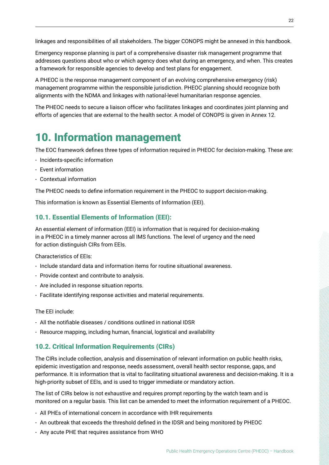linkages and responsibilities of all stakeholders. The bigger CONOPS might be annexed in this handbook.

Emergency response planning is part of a comprehensive disaster risk management programme that addresses questions about who or which agency does what during an emergency, and when. This creates a framework for responsible agencies to develop and test plans for engagement.

A PHEOC is the response management component of an evolving comprehensive emergency (risk) management programme within the responsible jurisdiction. PHEOC planning should recognize both alignments with the NDMA and linkages with national-level humanitarian response agencies.

The PHEOC needs to secure a liaison officer who facilitates linkages and coordinates joint planning and efforts of agencies that are external to the health sector. A model of CONOPS is given in Annex 12.

### 10. Information management

The EOC framework defines three types of information required in PHEOC for decision-making. These are:

- Incidents-specific information
- Event information
- Contextual information

The PHEOC needs to define information requirement in the PHEOC to support decision-making.

This information is known as Essential Elements of Information (EEI).

#### 10.1. Essential Elements of Information (EEI):

An essential element of information (EEI) is information that is required for decision-making in a PHEOC in a timely manner across all IMS functions. The level of urgency and the need for action distinguish CIRs from EEIs.

Characteristics of EEIs:

- Include standard data and information items for routine situational awareness.
- Provide context and contribute to analysis.
- Are included in response situation reports.
- Facilitate identifying response activities and material requirements.

The EEI include:

- All the notifiable diseases / conditions outlined in national IDSR
- Resource mapping, including human, financial, logistical and availability

#### 10.2. Critical Information Requirements (CIRs)

The CIRs include collection, analysis and dissemination of relevant information on public health risks, epidemic investigation and response, needs assessment, overall health sector response, gaps, and performance. It is information that is vital to facilitating situational awareness and decision-making. It is a high-priority subset of EEIs, and is used to trigger immediate or mandatory action.

The list of CIRs below is not exhaustive and requires prompt reporting by the watch team and is monitored on a regular basis. This list can be amended to meet the information requirement of a PHEOC.

- All PHEs of international concern in accordance with IHR requirements
- An outbreak that exceeds the threshold defined in the IDSR and being monitored by PHEOC
- Any acute PHE that requires assistance from WHO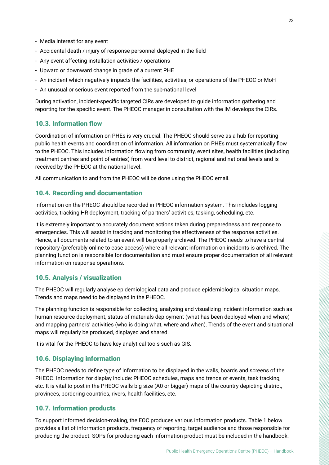- Media interest for any event
- Accidental death / injury of response personnel deployed in the field
- Any event affecting installation activities / operations
- Upward or downward change in grade of a current PHE
- An incident which negatively impacts the facilities, activities, or operations of the PHEOC or MoH
- An unusual or serious event reported from the sub-national level

During activation, incident-specific targeted CIRs are developed to guide information gathering and reporting for the specific event. The PHEOC manager in consultation with the IM develops the CIRs.

#### 10.3. Information flow

Coordination of information on PHEs is very crucial. The PHEOC should serve as a hub for reporting public health events and coordination of information. All information on PHEs must systematically flow to the PHEOC. This includes information flowing from community, event sites, health facilities (including treatment centres and point of entries) from ward level to district, regional and national levels and is received by the PHEOC at the national level.

All communication to and from the PHEOC will be done using the PHEOC email.

#### 10.4. Recording and documentation

Information on the PHEOC should be recorded in PHEOC information system. This includes logging activities, tracking HR deployment, tracking of partners' activities, tasking, scheduling, etc.

It is extremely important to accurately document actions taken during preparedness and response to emergencies. This will assist in tracking and monitoring the effectiveness of the response activities. Hence, all documents related to an event will be properly archived. The PHEOC needs to have a central repository (preferably online to ease access) where all relevant information on incidents is archived. The planning function is responsible for documentation and must ensure proper documentation of all relevant information on response operations.

#### 10.5. Analysis / visualization

The PHEOC will regularly analyse epidemiological data and produce epidemiological situation maps. Trends and maps need to be displayed in the PHEOC.

The planning function is responsible for collecting, analysing and visualizing incident information such as human resource deployment, status of materials deployment (what has been deployed when and where) and mapping partners' activities (who is doing what, where and when). Trends of the event and situational maps will regularly be produced, displayed and shared.

It is vital for the PHEOC to have key analytical tools such as GIS.

#### 10.6. Displaying information

The PHEOC needs to define type of information to be displayed in the walls, boards and screens of the PHEOC. Information for display include: PHEOC schedules, maps and trends of events, task tracking, etc. It is vital to post in the PHEOC walls big size (A0 or bigger) maps of the country depicting district, provinces, bordering countries, rivers, health facilities, etc.

#### 10.7. Information products

To support informed decision-making, the EOC produces various information products. Table 1 below provides a list of information products, frequency of reporting, target audience and those responsible for producing the product. SOPs for producing each information product must be included in the handbook.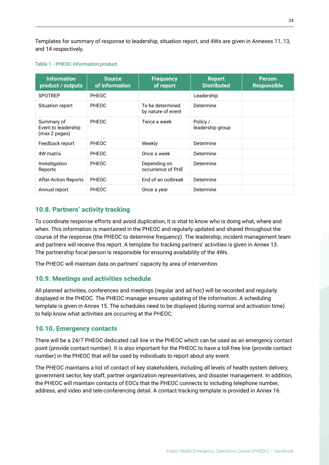Templates for summary of response to leadership, situation report, and 4Ws are given in Annexes 11, 13, and 14 respectively.

#### Table 1 - PHEOC Information product

| <b>Information</b><br>product / outputs            | <b>Source</b><br>of information | <b>Frequency</b><br>of report          | <b>Report</b><br><b>Distributed</b> | <b>Person</b><br><b>Responsible</b> |
|----------------------------------------------------|---------------------------------|----------------------------------------|-------------------------------------|-------------------------------------|
| <b>SPOTREP</b>                                     | <b>PHEOC</b>                    |                                        | Leadership                          |                                     |
| Situation report                                   | PHEOC                           | To be determined<br>by nature of event | Determine                           |                                     |
| Summary of<br>Event to leadership<br>(max 2 pages) | <b>PHEOC</b>                    | Twice a week                           | Policy /<br>leadership group        |                                     |
| Feedback report                                    | PHEOC                           | Weekly                                 | Determine                           |                                     |
| 4W matrix                                          | PHEOC                           | Once a week                            | Determine                           |                                     |
| Investigation<br>Reports                           | PHEOC                           | Depending on<br>occurrence of PHE      | Determine                           |                                     |
| <b>After-Action Reports</b>                        | PHEOC                           | End of an outbreak                     | Determine                           |                                     |
| Annual report                                      | PHEOC                           | Once a year                            | Determine                           |                                     |

#### 10.8. Partners' activity tracking

To coordinate response efforts and avoid duplication, it is vital to know who is doing what, where and when. This information is maintained in the PHEOC and regularly updated and shared throughout the course of the response (the PHEOC to determine frequency). The leadership, incident management team and partners will receive this report. A template for tracking partners' activities is given in Annex 13. The partnership focal person is responsible for ensuring availability of the 4Ws.

The PHEOC will maintain data on partners' capacity by area of intervention.

#### 10.9. Meetings and activities schedule

All planned activities, conferences and meetings (regular and ad hoc) will be recorded and regularly displayed in the PHEOC. The PHEOC manager ensures updating of the information. A scheduling template is given in Annex 15. The schedules need to be displayed (during normal and activation time) to help know what activities are occurring at the PHEOC.

#### 10.10. Emergency contacts

There will be a 24/7 PHEOC dedicated call line in the PHEOC which can be used as an emergency contact point (provide contact number). It is also important for the PHEOC to have a toll-free line (provide contact number) in the PHEOC that will be used by individuals to report about any event.

The PHEOC maintains a list of contact of key stakeholders, including all levels of health system delivery, government sector, key staff, partner organization representatives, and disaster management. In addition, the PHEOC will maintain contacts of EOCs that the PHEOC connects to including telephone number, address, and video and tele-conferencing detail. A contact tracking template is provided in Annex 16.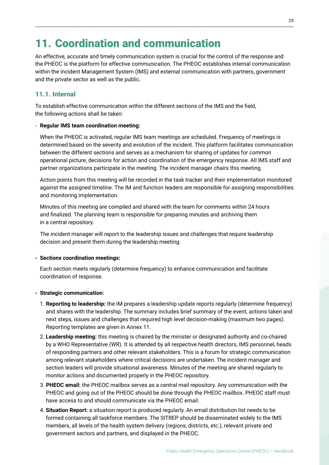### 11. Coordination and communication

An effective, accurate and timely communication system is crucial for the control of the response and the PHEOC is the platform for effective communication. The PHEOC establishes internal communication within the Incident Management System (IMS) and external communication with partners, government and the private sector as well as the public.

#### 11.1. Internal

To establish effective communication within the different sections of the IMS and the field, the following actions shall be taken:

#### - **Regular IMS team coordination meeting:**

When the PHEOC is activated, regular IMS team meetings are scheduled. Frequency of meetings is determined based on the severity and evolution of the incident. This platform facilitates communication between the different sections and serves as a mechanism for sharing of updates for common operational picture, decisions for action and coordination of the emergency response. All IMS staff and partner organizations participate in the meeting. The incident manager chairs this meeting.

Action points from this meeting will be recorded in the task tracker and their implementation monitored against the assigned timeline. The IM and function leaders are responsible for assigning responsibilities and monitoring implementation.

Minutes of this meeting are compiled and shared with the team for comments within 24 hours and finalized. The planning team is responsible for preparing minutes and archiving them in a central repository.

The incident manager will report to the leadership issues and challenges that require leadership decision and present them during the leadership meeting.

#### **- Sections coordination meetings:**

Each section meets regularly (determine frequency) to enhance communication and facilitate coordination of response.

#### **- Strategic communication:**

- 1. **Reporting to leadership:** the IM prepares a leadership update reports regularly (determine frequency) and shares with the leadership. The summary includes brief summary of the event, actions taken and next steps, issues and challenges that required high level decision-making (maximum two pages). Reporting templates are given in Annex 11.
- 2. **Leadership meeting:** this meeting is chaired by the minister or designated authority and co-chaired by a WHO Representative (WR). It is attended by all respective health directors, IMS personnel, heads of responding partners and other relevant stakeholders. This is a forum for strategic communication among relevant stakeholders where critical decisions are undertaken. The incident manager and section leaders will provide situational awareness. Minutes of the meeting are shared regularly to monitor actions and documented properly in the PHEOC repository.
- 3. **PHEOC email:** the PHEOC mailbox serves as a central mail repository. Any communication with the PHEOC and going out of the PHEOC should be done through the PHEOC mailbox. PHEOC staff must have access to and should communicate via the PHEOC email.
- 4. **Situation Report:** a situation report is produced regularly. An email distribution list needs to be formed containing all taskforce members. The SITREP should be disseminated widely to the IMS members, all levels of the health system delivery (regions, districts, etc.), relevant private and government sectors and partners, and displayed in the PHEOC.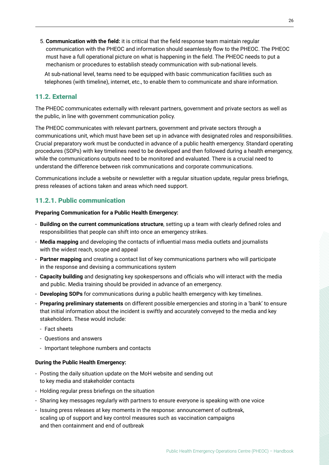<span id="page-25-0"></span>5. **Communication with the field:** it is critical that the field response team maintain regular communication with the PHEOC and information should seamlessly flow to the PHEOC. The PHEOC must have a full operational picture on what is happening in the field. The PHEOC needs to put a mechanism or procedures to establish steady communication with sub-national levels.

 At sub-national level, teams need to be equipped with basic communication facilities such as telephones (with timeline), internet, etc., to enable them to communicate and share information.

#### 11.2. External

The PHEOC communicates externally with relevant partners, government and private sectors as well as the public, in line with government communication policy.

The PHEOC communicates with relevant partners, government and private sectors through a communications unit, which must have been set up in advance with designated roles and responsibilities. Crucial preparatory work must be conducted in advance of a public health emergency. Standard operating procedures (SOPs) with key timelines need to be developed and then followed during a health emergency, while the communications outputs need to be monitored and evaluated. There is a crucial need to understand the difference between risk communications and corporate communications.

Communications include a website or newsletter with a regular situation update, regular press briefings, press releases of actions taken and areas which need support.

#### 11.2.1. Public communication

**Preparing Communication for a Public Health Emergency:**

- **Building on the current communications structure**, setting up a team with clearly defined roles and responsibilities that people can shift into once an emergency strikes.
- **Media mapping** and developing the contacts of influential mass media outlets and journalists with the widest reach, scope and appeal
- **Partner mapping** and creating a contact list of key communications partners who will participate in the response and devising a communications system
- **Capacity building** and designating key spokespersons and officials who will interact with the media and public. Media training should be provided in advance of an emergency.
- **Developing SOPs** for communications during a public health emergency with key timelines.
- **Preparing preliminary statements** on different possible emergencies and storing in a 'bank' to ensure that initial information about the incident is swiftly and accurately conveyed to the media and key stakeholders. These would include:
	- Fact sheets
	- Questions and answers
	- Important telephone numbers and contacts

#### **During the Public Health Emergency:**

- Posting the daily situation update on the MoH website and sending out to key media and stakeholder contacts
- Holding regular press briefings on the situation
- Sharing key messages regularly with partners to ensure everyone is speaking with one voice
- Issuing press releases at key moments in the response: announcement of outbreak, scaling up of support and key control measures such as vaccination campaigns and then containment and end of outbreak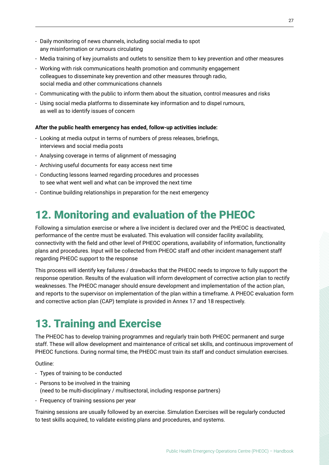- <span id="page-26-0"></span>- Daily monitoring of news channels, including social media to spot any misinformation or rumours circulating
- Media training of key journalists and outlets to sensitize them to key prevention and other measures
- Working with risk communications health promotion and community engagement colleagues to disseminate key prevention and other measures through radio, social media and other communications channels
- Communicating with the public to inform them about the situation, control measures and risks
- Using social media platforms to disseminate key information and to dispel rumours, as well as to identify issues of concern

#### **After the public health emergency has ended, follow-up activities include:**

- Looking at media output in terms of numbers of press releases, briefings, interviews and social media posts
- Analysing coverage in terms of alignment of messaging
- Archiving useful documents for easy access next time
- Conducting lessons learned regarding procedures and processes to see what went well and what can be improved the next time
- Continue building relationships in preparation for the next emergency

### 12. Monitoring and evaluation of the PHEOC

Following a simulation exercise or where a live incident is declared over and the PHEOC is deactivated, performance of the centre must be evaluated. This evaluation will consider facility availability, connectivity with the field and other level of PHEOC operations, availability of information, functionality plans and procedures. Input will be collected from PHEOC staff and other incident management staff regarding PHEOC support to the response

This process will identify key failures / drawbacks that the PHEOC needs to improve to fully support the response operation. Results of the evaluation will inform development of corrective action plan to rectify weaknesses. The PHEOC manager should ensure development and implementation of the action plan, and reports to the supervisor on implementation of the plan within a timeframe. A PHEOC evaluation form and corrective action plan (CAP) template is provided in Annex 17 and 18 respectively.

### 13. Training and Exercise

The PHEOC has to develop training programmes and regularly train both PHEOC permanent and surge staff. These will allow development and maintenance of critical set skills, and continuous improvement of PHEOC functions. During normal time, the PHEOC must train its staff and conduct simulation exercises.

Outline:

- Types of training to be conducted
- Persons to be involved in the training
	- (need to be multi-disciplinary / multisectoral, including response partners)
- Frequency of training sessions per year

Training sessions are usually followed by an exercise. Simulation Exercises will be regularly conducted to test skills acquired, to validate existing plans and procedures, and systems.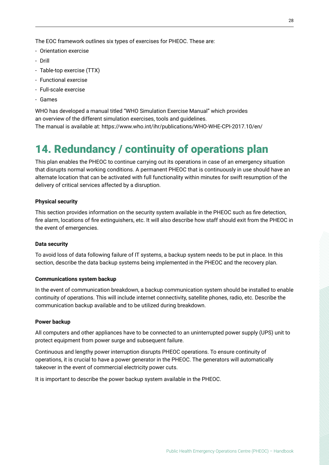<span id="page-27-0"></span>The EOC framework outlines six types of exercises for PHEOC. These are:

- Orientation exercise
- Drill
- Table-top exercise (TTX)
- Functional exercise
- Full-scale exercise
- Games

WHO has developed a manual titled "WHO Simulation Exercise Manual" which provides an overview of the different simulation exercises, tools and guidelines. The manual is available at: https://www.who.int/ihr/publications/WHO-WHE-CPI-2017.10/en/

### 14. Redundancy / continuity of operations plan

This plan enables the PHEOC to continue carrying out its operations in case of an emergency situation that disrupts normal working conditions. A permanent PHEOC that is continuously in use should have an alternate location that can be activated with full functionality within minutes for swift resumption of the delivery of critical services affected by a disruption.

#### **Physical security**

This section provides information on the security system available in the PHEOC such as fire detection, fire alarm, locations of fire extinguishers, etc. It will also describe how staff should exit from the PHEOC in the event of emergencies.

#### **Data security**

To avoid loss of data following failure of IT systems, a backup system needs to be put in place. In this section, describe the data backup systems being implemented in the PHEOC and the recovery plan.

#### **Communications system backup**

In the event of communication breakdown, a backup communication system should be installed to enable continuity of operations. This will include internet connectivity, satellite phones, radio, etc. Describe the communication backup available and to be utilized during breakdown.

#### **Power backup**

All computers and other appliances have to be connected to an uninterrupted power supply (UPS) unit to protect equipment from power surge and subsequent failure.

Continuous and lengthy power interruption disrupts PHEOC operations. To ensure continuity of operations, it is crucial to have a power generator in the PHEOC. The generators will automatically takeover in the event of commercial electricity power cuts.

It is important to describe the power backup system available in the PHEOC.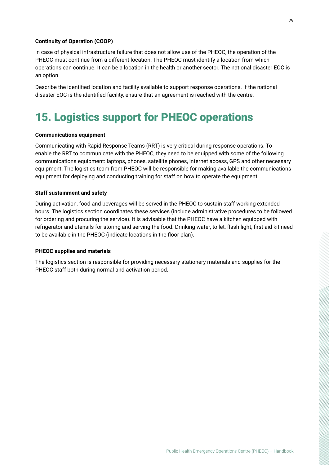#### <span id="page-28-0"></span>**Continuity of Operation (COOP)**

In case of physical infrastructure failure that does not allow use of the PHEOC, the operation of the PHEOC must continue from a different location. The PHEOC must identify a location from which operations can continue. It can be a location in the health or another sector. The national disaster EOC is an option.

Describe the identified location and facility available to support response operations. If the national disaster EOC is the identified facility, ensure that an agreement is reached with the centre.

## 15. Logistics support for PHEOC operations

#### **Communications equipment**

Communicating with Rapid Response Teams (RRT) is very critical during response operations. To enable the RRT to communicate with the PHEOC, they need to be equipped with some of the following communications equipment: laptops, phones, satellite phones, internet access, GPS and other necessary equipment. The logistics team from PHEOC will be responsible for making available the communications equipment for deploying and conducting training for staff on how to operate the equipment.

#### **Staff sustainment and safety**

During activation, food and beverages will be served in the PHEOC to sustain staff working extended hours. The logistics section coordinates these services (include administrative procedures to be followed for ordering and procuring the service). It is advisable that the PHEOC have a kitchen equipped with refrigerator and utensils for storing and serving the food. Drinking water, toilet, flash light, first aid kit need to be available in the PHEOC (indicate locations in the floor plan).

#### **PHEOC supplies and materials**

The logistics section is responsible for providing necessary stationery materials and supplies for the PHEOC staff both during normal and activation period.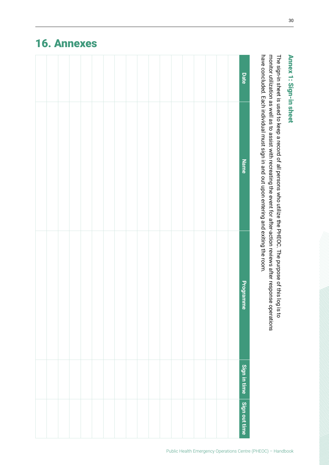## have concluded. **Date** Each individual must sign **Name** E and o<br>E upon entering and exiting the room. **Programme Programme** Sign in time **Sign in time** Sign out time **Sign out time**

### <span id="page-29-0"></span>16. Annexes

The sign-in sheet is used to keep a record <u>ባ</u>  $\overset{\mathtt{a}}{=}$ persons who utilize the PHEOC. The purpose <u>ባ</u> this log is to monitor utilization as ≫<br>ll as to assist with recreating the event for after-action reviews after response operations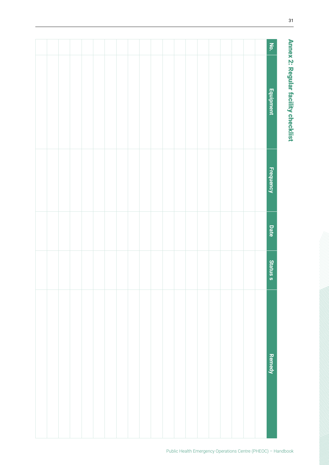<span id="page-30-0"></span>

| <b>No.</b>       |  |  |  |  |  |  |  |  |  |  |
|------------------|--|--|--|--|--|--|--|--|--|--|
| Equipment        |  |  |  |  |  |  |  |  |  |  |
| <b>Frequency</b> |  |  |  |  |  |  |  |  |  |  |
| Date             |  |  |  |  |  |  |  |  |  |  |
| <b>Statuss</b>   |  |  |  |  |  |  |  |  |  |  |
| <b>Remedy</b>    |  |  |  |  |  |  |  |  |  |  |
|                  |  |  |  |  |  |  |  |  |  |  |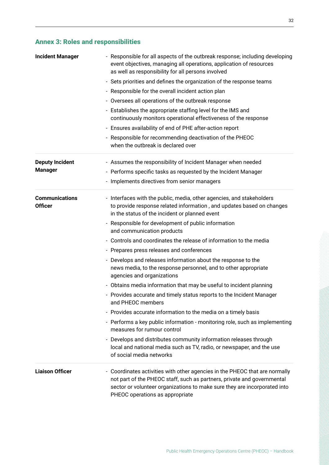### <span id="page-31-0"></span>Annex 3: Roles and responsibilities

| <b>Incident Manager</b>                 | - Responsible for all aspects of the outbreak response; including developing<br>event objectives, managing all operations, application of resources<br>as well as responsibility for all persons involved                                                              |
|-----------------------------------------|------------------------------------------------------------------------------------------------------------------------------------------------------------------------------------------------------------------------------------------------------------------------|
|                                         | - Sets priorities and defines the organization of the response teams                                                                                                                                                                                                   |
|                                         | - Responsible for the overall incident action plan                                                                                                                                                                                                                     |
|                                         | - Oversees all operations of the outbreak response                                                                                                                                                                                                                     |
|                                         | - Establishes the appropriate staffing level for the IMS and<br>continuously monitors operational effectiveness of the response                                                                                                                                        |
|                                         | - Ensures availability of end of PHE after-action report                                                                                                                                                                                                               |
|                                         | - Responsible for recommending deactivation of the PHEOC<br>when the outbreak is declared over                                                                                                                                                                         |
| <b>Deputy Incident</b>                  | - Assumes the responsibility of Incident Manager when needed                                                                                                                                                                                                           |
| <b>Manager</b>                          | - Performs specific tasks as requested by the Incident Manager                                                                                                                                                                                                         |
|                                         | - Implements directives from senior managers                                                                                                                                                                                                                           |
| <b>Communications</b><br><b>Officer</b> | - Interfaces with the public, media, other agencies, and stakeholders<br>to provide response related information, and updates based on changes<br>in the status of the incident or planned event                                                                       |
|                                         | - Responsible for development of public information<br>and communication products                                                                                                                                                                                      |
|                                         | - Controls and coordinates the release of information to the media                                                                                                                                                                                                     |
|                                         | - Prepares press releases and conferences                                                                                                                                                                                                                              |
|                                         | - Develops and releases information about the response to the<br>news media, to the response personnel, and to other appropriate<br>agencies and organizations                                                                                                         |
|                                         | - Obtains media information that may be useful to incident planning                                                                                                                                                                                                    |
|                                         | - Provides accurate and timely status reports to the Incident Manager<br>and PHEOC members                                                                                                                                                                             |
|                                         | - Provides accurate information to the media on a timely basis                                                                                                                                                                                                         |
|                                         | - Performs a key public information - monitoring role, such as implementing<br>measures for rumour control                                                                                                                                                             |
|                                         | - Develops and distributes community information releases through<br>local and national media such as TV, radio, or newspaper, and the use<br>of social media networks                                                                                                 |
| <b>Liaison Officer</b>                  | - Coordinates activities with other agencies in the PHEOC that are normally<br>not part of the PHEOC staff, such as partners, private and governmental<br>sector or volunteer organizations to make sure they are incorporated into<br>PHEOC operations as appropriate |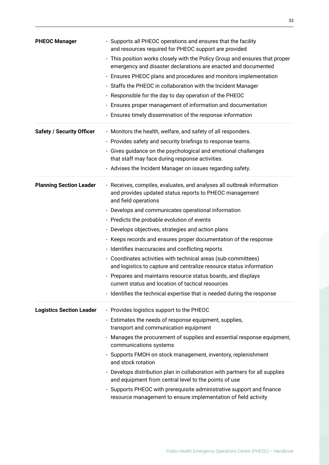| <b>PHEOC Manager</b>             | - Supports all PHEOC operations and ensures that the facility<br>and resources required for PHEOC support are provided<br>- This position works closely with the Policy Group and ensures that proper<br>emergency and disaster declarations are enacted and documented<br>- Ensures PHEOC plans and procedures and monitors implementation<br>- Staffs the PHEOC in collaboration with the Incident Manager<br>- Responsible for the day to day operation of the PHEOC<br>- Ensures proper management of information and documentation<br>- Ensures timely dissemination of the response information                                                                                                                                                                                    |
|----------------------------------|------------------------------------------------------------------------------------------------------------------------------------------------------------------------------------------------------------------------------------------------------------------------------------------------------------------------------------------------------------------------------------------------------------------------------------------------------------------------------------------------------------------------------------------------------------------------------------------------------------------------------------------------------------------------------------------------------------------------------------------------------------------------------------------|
| <b>Safety / Security Officer</b> | - Monitors the health, welfare, and safety of all responders.<br>- Provides safety and security briefings to response teams.<br>- Gives guidance on the psychological and emotional challenges<br>that staff may face during response activities.<br>- Advises the Incident Manager on issues regarding safety.                                                                                                                                                                                                                                                                                                                                                                                                                                                                          |
| <b>Planning Section Leader</b>   | - Receives, compiles, evaluates, and analyses all outbreak information<br>and provides updated status reports to PHEOC management<br>and field operations<br>- Develops and communicates operational information<br>- Predicts the probable evolution of events<br>- Develops objectives, strategies and action plans<br>- Keeps records and ensures proper documentation of the response<br>- Identifies inaccuracies and conflicting reports<br>- Coordinates activities with technical areas (sub-committees)<br>and logistics to capture and centralize resource status information<br>- Prepares and maintains resource status boards, and displays<br>current status and location of tactical resources<br>- Identifies the technical expertise that is needed during the response |
| <b>Logistics Section Leader</b>  | - Provides logistics support to the PHEOC<br>- Estimates the needs of response equipment, supplies,<br>transport and communication equipment<br>- Manages the procurement of supplies and essential response equipment,<br>communications systems<br>- Supports FMOH on stock management, inventory, replenishment<br>and stock rotation<br>- Develops distribution plan in collaboration with partners for all supplies<br>and equipment from central level to the points of use<br>- Supports PHEOC with prerequisite administrative support and finance<br>resource management to ensure implementation of field activity                                                                                                                                                             |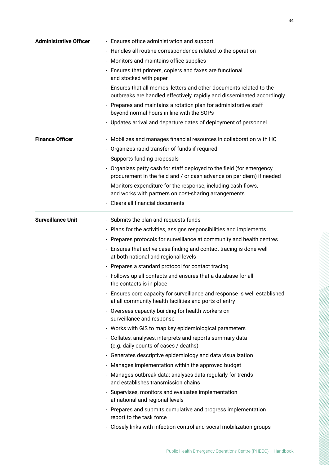| <b>Administrative Officer</b> | - Ensures office administration and support                                                                                                     |
|-------------------------------|-------------------------------------------------------------------------------------------------------------------------------------------------|
|                               | - Handles all routine correspondence related to the operation                                                                                   |
|                               | - Monitors and maintains office supplies                                                                                                        |
|                               | - Ensures that printers, copiers and faxes are functional<br>and stocked with paper                                                             |
|                               | - Ensures that all memos, letters and other documents related to the<br>outbreaks are handled effectively, rapidly and disseminated accordingly |
|                               | - Prepares and maintains a rotation plan for administrative staff<br>beyond normal hours in line with the SOPs                                  |
|                               | - Updates arrival and departure dates of deployment of personnel                                                                                |
| <b>Finance Officer</b>        | - Mobilizes and manages financial resources in collaboration with HQ                                                                            |
|                               | - Organizes rapid transfer of funds if required                                                                                                 |
|                               | - Supports funding proposals                                                                                                                    |
|                               | - Organizes petty cash for staff deployed to the field (for emergency<br>procurement in the field and / or cash advance on per diem) if needed  |
|                               | - Monitors expenditure for the response, including cash flows,<br>and works with partners on cost-sharing arrangements                          |
|                               | - Clears all financial documents                                                                                                                |
| <b>Surveillance Unit</b>      | - Submits the plan and requests funds                                                                                                           |
|                               | - Plans for the activities, assigns responsibilities and implements                                                                             |
|                               | - Prepares protocols for surveillance at community and health centres                                                                           |
|                               | - Ensures that active case finding and contact tracing is done well<br>at both national and regional levels                                     |
|                               | - Prepares a standard protocol for contact tracing                                                                                              |
|                               | - Follows up all contacts and ensures that a database for all<br>the contacts is in place                                                       |
|                               | - Ensures core capacity for surveillance and response is well established<br>at all community health facilities and ports of entry              |
|                               | - Oversees capacity building for health workers on<br>surveillance and response                                                                 |
|                               | - Works with GIS to map key epidemiological parameters                                                                                          |
|                               | - Collates, analyses, interprets and reports summary data<br>(e.g. daily counts of cases / deaths)                                              |
|                               | - Generates descriptive epidemiology and data visualization                                                                                     |
|                               | - Manages implementation within the approved budget                                                                                             |
|                               | - Manages outbreak data: analyses data regularly for trends<br>and establishes transmission chains                                              |
|                               | - Supervises, monitors and evaluates implementation<br>at national and regional levels                                                          |
|                               | - Prepares and submits cumulative and progress implementation<br>report to the task force                                                       |
|                               | - Closely links with infection control and social mobilization groups                                                                           |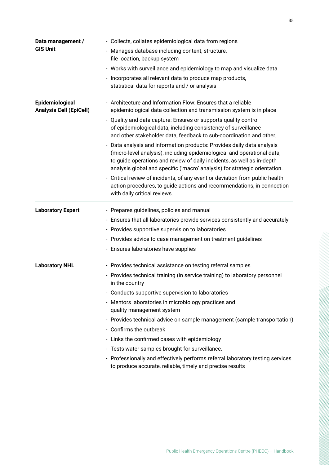| Data management /<br><b>GIS Unit</b>              | - Collects, collates epidemiological data from regions<br>- Manages database including content, structure,<br>file location, backup system<br>- Works with surveillance and epidemiology to map and visualize data<br>- Incorporates all relevant data to produce map products,<br>statistical data for reports and / or analysis                                                                                                                                                                                                                                                                                                                                                                                                                                                                                                                      |
|---------------------------------------------------|--------------------------------------------------------------------------------------------------------------------------------------------------------------------------------------------------------------------------------------------------------------------------------------------------------------------------------------------------------------------------------------------------------------------------------------------------------------------------------------------------------------------------------------------------------------------------------------------------------------------------------------------------------------------------------------------------------------------------------------------------------------------------------------------------------------------------------------------------------|
| Epidemiological<br><b>Analysis Cell (EpiCell)</b> | - Architecture and Information Flow: Ensures that a reliable<br>epidemiological data collection and transmission system is in place<br>- Quality and data capture: Ensures or supports quality control<br>of epidemiological data, including consistency of surveillance<br>and other stakeholder data, feedback to sub-coordination and other.<br>- Data analysis and information products: Provides daily data analysis<br>(micro-level analysis), including epidemiological and operational data,<br>to guide operations and review of daily incidents, as well as in-depth<br>analysis global and specific ('macro' analysis) for strategic orientation.<br>- Critical review of incidents, of any event or deviation from public health<br>action procedures, to guide actions and recommendations, in connection<br>with daily critical reviews. |
| <b>Laboratory Expert</b>                          | - Prepares guidelines, policies and manual<br>- Ensures that all laboratories provide services consistently and accurately<br>- Provides supportive supervision to laboratories<br>- Provides advice to case management on treatment guidelines<br>- Ensures laboratories have supplies                                                                                                                                                                                                                                                                                                                                                                                                                                                                                                                                                                |
| <b>Laboratory NHL</b>                             | - Provides technical assistance on testing referral samples<br>- Provides technical training (in service training) to laboratory personnel<br>in the country<br>- Conducts supportive supervision to laboratories<br>- Mentors laboratories in microbiology practices and<br>quality management system<br>- Provides technical advice on sample management (sample transportation)<br>- Confirms the outbreak<br>- Links the confirmed cases with epidemiology<br>- Tests water samples brought for surveillance.<br>- Professionally and effectively performs referral laboratory testing services<br>to produce accurate, reliable, timely and precise results                                                                                                                                                                                       |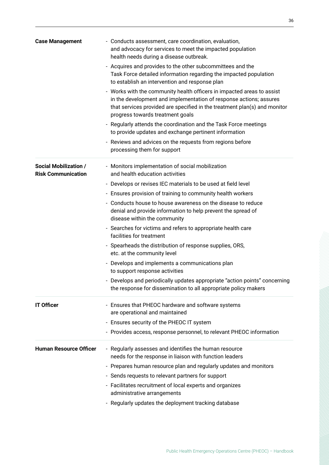| <b>Case Management</b>                                    | - Conducts assessment, care coordination, evaluation,<br>and advocacy for services to meet the impacted population<br>health needs during a disease outbreak.                                                                                                 |
|-----------------------------------------------------------|---------------------------------------------------------------------------------------------------------------------------------------------------------------------------------------------------------------------------------------------------------------|
|                                                           | - Acquires and provides to the other subcommittees and the<br>Task Force detailed information regarding the impacted population<br>to establish an intervention and response plan                                                                             |
|                                                           | - Works with the community health officers in impacted areas to assist<br>in the development and implementation of response actions; assures<br>that services provided are specified in the treatment plan(s) and monitor<br>progress towards treatment goals |
|                                                           | - Regularly attends the coordination and the Task Force meetings<br>to provide updates and exchange pertinent information                                                                                                                                     |
|                                                           | - Reviews and advices on the requests from regions before<br>processing them for support                                                                                                                                                                      |
| <b>Social Mobilization /</b><br><b>Risk Communication</b> | - Monitors implementation of social mobilization<br>and health education activities                                                                                                                                                                           |
|                                                           | - Develops or revises IEC materials to be used at field level                                                                                                                                                                                                 |
|                                                           | - Ensures provision of training to community health workers                                                                                                                                                                                                   |
|                                                           | - Conducts house to house awareness on the disease to reduce<br>denial and provide information to help prevent the spread of<br>disease within the community                                                                                                  |
|                                                           | - Searches for victims and refers to appropriate health care<br>facilities for treatment                                                                                                                                                                      |
|                                                           | - Spearheads the distribution of response supplies, ORS,<br>etc. at the community level                                                                                                                                                                       |
|                                                           | - Develops and implements a communications plan<br>to support response activities                                                                                                                                                                             |
|                                                           | - Develops and periodically updates appropriate "action points" concerning<br>the response for dissemination to all appropriate policy makers                                                                                                                 |
| <b>IT Officer</b>                                         | - Ensures that PHEOC hardware and software systems<br>are operational and maintained                                                                                                                                                                          |
|                                                           | - Ensures security of the PHEOC IT system                                                                                                                                                                                                                     |
|                                                           | - Provides access, response personnel, to relevant PHEOC information                                                                                                                                                                                          |
| <b>Human Resource Officer</b>                             | - Regularly assesses and identifies the human resource<br>needs for the response in liaison with function leaders                                                                                                                                             |
|                                                           | - Prepares human resource plan and regularly updates and monitors                                                                                                                                                                                             |
|                                                           | - Sends requests to relevant partners for support                                                                                                                                                                                                             |
|                                                           | - Facilitates recruitment of local experts and organizes<br>administrative arrangements                                                                                                                                                                       |
|                                                           | - Regularly updates the deployment tracking database                                                                                                                                                                                                          |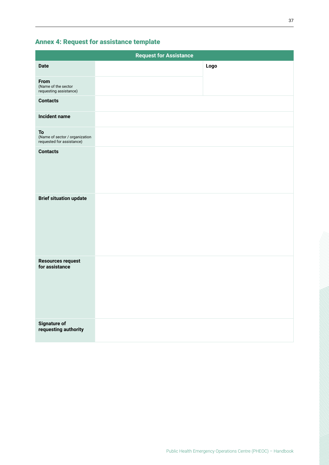### <span id="page-36-0"></span>Annex 4: Request for assistance template

|                                                                   | <b>Request for Assistance</b> |      |
|-------------------------------------------------------------------|-------------------------------|------|
| <b>Date</b>                                                       |                               | Logo |
| From<br>(Name of the sector<br>requesting assistance)             |                               |      |
| <b>Contacts</b>                                                   |                               |      |
| <b>Incident name</b>                                              |                               |      |
| To<br>(Name of sector / organization<br>requested for assistance) |                               |      |
| <b>Contacts</b>                                                   |                               |      |
| <b>Brief situation update</b>                                     |                               |      |
| <b>Resources request</b><br>for assistance                        |                               |      |
| <b>Signature of</b><br>requesting authority                       |                               |      |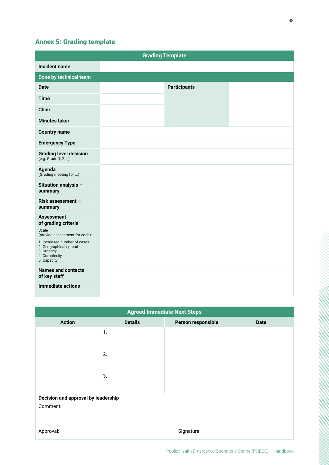### <span id="page-37-0"></span>Annex 5: Grading template

|                                                                                                                                                                                             | <b>Grading Template</b> |  |
|---------------------------------------------------------------------------------------------------------------------------------------------------------------------------------------------|-------------------------|--|
| <b>Incident name</b>                                                                                                                                                                        |                         |  |
| Done by technical team                                                                                                                                                                      |                         |  |
| <b>Date</b>                                                                                                                                                                                 | <b>Participants</b>     |  |
| <b>Time</b>                                                                                                                                                                                 |                         |  |
| <b>Chair</b>                                                                                                                                                                                |                         |  |
| <b>Minutes taker</b>                                                                                                                                                                        |                         |  |
| <b>Country name</b>                                                                                                                                                                         |                         |  |
| <b>Emergency Type</b>                                                                                                                                                                       |                         |  |
| <b>Grading level decision</b><br>(e.g. Grade 1, 2 )                                                                                                                                         |                         |  |
| Agenda<br>(Grading meeting for )                                                                                                                                                            |                         |  |
| Situation analysis -<br>summary                                                                                                                                                             |                         |  |
| Risk assessment -<br>summary                                                                                                                                                                |                         |  |
| <b>Assessment</b><br>of grading criteria<br>Scale<br>(provide assessment for each):<br>1. Increased number of cases<br>2. Geographical spread<br>3. Urgency<br>4. Complexity<br>5. Capacity |                         |  |
| <b>Names and contacts</b><br>of key staff                                                                                                                                                   |                         |  |
| <b>Immediate actions</b>                                                                                                                                                                    |                         |  |

| <b>Agreed Immediate Next Steps</b>  |                |                    |             |  |  |  |  |  |  |  |  |
|-------------------------------------|----------------|--------------------|-------------|--|--|--|--|--|--|--|--|
| <b>Action</b>                       | <b>Details</b> | Person responsible | <b>Date</b> |  |  |  |  |  |  |  |  |
|                                     | $\mathbf{1}$ . |                    |             |  |  |  |  |  |  |  |  |
|                                     | 2.             |                    |             |  |  |  |  |  |  |  |  |
|                                     | 3.             |                    |             |  |  |  |  |  |  |  |  |
| Decision and approval by leadership |                |                    |             |  |  |  |  |  |  |  |  |
| Comment:                            |                |                    |             |  |  |  |  |  |  |  |  |
| Approval:                           |                | Signature:         |             |  |  |  |  |  |  |  |  |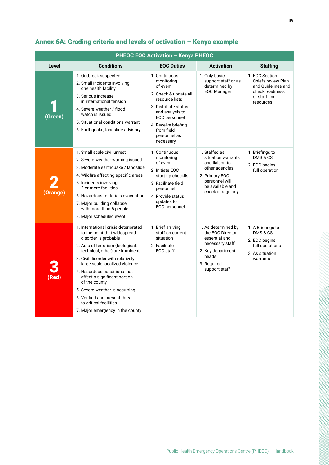| <b>PHEOC EOC Activation - Kenya PHEOC</b> |                                                                                                                                                                                                                                                                                                                                                                                                                                                               |                                                                                                                                                                                                                  |                                                                                                                                                       |                                                                                                            |  |  |  |  |  |  |  |
|-------------------------------------------|---------------------------------------------------------------------------------------------------------------------------------------------------------------------------------------------------------------------------------------------------------------------------------------------------------------------------------------------------------------------------------------------------------------------------------------------------------------|------------------------------------------------------------------------------------------------------------------------------------------------------------------------------------------------------------------|-------------------------------------------------------------------------------------------------------------------------------------------------------|------------------------------------------------------------------------------------------------------------|--|--|--|--|--|--|--|
| <b>Level</b>                              | <b>Conditions</b>                                                                                                                                                                                                                                                                                                                                                                                                                                             | <b>EOC Duties</b>                                                                                                                                                                                                | <b>Activation</b>                                                                                                                                     | <b>Staffing</b>                                                                                            |  |  |  |  |  |  |  |
| (Green)                                   | 1. Outbreak suspected<br>2. Small incidents involving<br>one health facility<br>3. Serious increase<br>in international tension<br>4. Severe weather / flood<br>watch is issued<br>5. Situational conditions warrant<br>6. Earthquake, landslide advisory                                                                                                                                                                                                     | 1. Continuous<br>monitoring<br>of event<br>2. Check & update all<br>resource lists<br>3. Distribute status<br>and analysis to<br>EOC personnel<br>4. Receive briefing<br>from field<br>personnel as<br>necessary | 1. Only basic<br>support staff or as<br>determined by<br><b>EOC Manager</b>                                                                           | 1. EOC Section<br>Chiefs review Plan<br>and Guidelines and<br>check readiness<br>of staff and<br>resources |  |  |  |  |  |  |  |
| <b>Orange</b>                             | 1. Small scale civil unrest<br>2. Severe weather warning issued<br>3. Moderate earthquake / landslide<br>4. Wildfire affecting specific areas<br>5. Incidents involving<br>2 or more facilities<br>6. Hazardous materials evacuation<br>7. Major building collapse<br>with more than 5 people<br>8. Major scheduled event                                                                                                                                     | 1. Continuous<br>monitoring<br>of event<br>2. Initiate EOC<br>start-up checklist<br>3. Facilitate field<br>personnel<br>4. Provide status<br>updates to<br>EOC personnel                                         | 1. Staffed as<br>situation warrants<br>and liaison to<br>other agencies<br>2. Primary EOC<br>personnel will<br>be available and<br>check-in regularly | 1. Briefings to<br>DMS & CS<br>2. EOC begins<br>full operation                                             |  |  |  |  |  |  |  |
| (Red                                      | 1. International crisis deteriorated<br>to the point that widespread<br>disorder is probable<br>2. Acts of terrorism (biological,<br>technical, other) are imminent<br>3. Civil disorder with relatively<br>large scale localized violence<br>4. Hazardous conditions that<br>affect a significant portion<br>of the county<br>5. Severe weather is occurring<br>6. Verified and present threat<br>to critical facilities<br>7. Major emergency in the county | 1. Brief arriving<br>staff on current<br>situation<br>2. Facilitate<br>EOC staff                                                                                                                                 | 1. As determined by<br>the EOC Director<br>essential and<br>necessary staff<br>2. Key department<br>heads<br>3. Required<br>support staff             | 1. A Briefings to<br>DMS & CS<br>2. EOC begins<br>full operations<br>3. As situation<br>warrants           |  |  |  |  |  |  |  |

### <span id="page-38-0"></span>Annex 6A: Grading criteria and levels of activation – Kenya example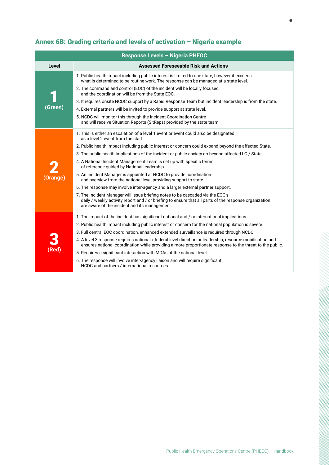|                  | Response Levels - Nigeria PHEOC                                                                                                                                                                                                           |
|------------------|-------------------------------------------------------------------------------------------------------------------------------------------------------------------------------------------------------------------------------------------|
| <b>Level</b>     | <b>Assessed Foreseeable Risk and Actions</b>                                                                                                                                                                                              |
|                  | 1. Public health impact including public interest is limited to one state, however it exceeds<br>what is determined to be routine work. The response can be managed at a state level.                                                     |
|                  | 2. The command and control (EOC) of the incident will be locally focused,<br>and the coordination will be from the State EOC.                                                                                                             |
|                  | 3. It requires onsite NCDC support by a Rapid Response Team but incident leadership is from the state.                                                                                                                                    |
| (Green)          | 4. External partners will be invited to provide support at state level.                                                                                                                                                                   |
|                  | 5. NCDC will monitor this through the Incident Coordination Centre<br>and will receive Situation Reports (SitReps) provided by the state team.                                                                                            |
|                  | 1. This is either an escalation of a level 1 event or event could also be designated<br>as a level 2 event from the start.                                                                                                                |
|                  | 2. Public health impact including public interest or concern could expand beyond the affected State.                                                                                                                                      |
|                  | 3. The public health implications of the incident or public anxiety go beyond affected LG / State.                                                                                                                                        |
|                  | 4. A National Incident Management Team is set up with specific terms<br>of reference guided by National leadership.                                                                                                                       |
| Orange)          | 5. An Incident Manager is appointed at NCDC to provide coordination<br>and overview from the national level providing support to state.                                                                                                   |
|                  | 6. The response may involve inter-agency and a larger external partner support.                                                                                                                                                           |
|                  | 7. The Incident Manager will issue briefing notes to be cascaded via the EOC's<br>daily / weekly activity report and / or briefing to ensure that all parts of the response organization<br>are aware of the incident and its management. |
|                  | 1. The impact of the incident has significant national and / or international implications.                                                                                                                                               |
|                  | 2. Public health impact including public interest or concern for the national population is severe.                                                                                                                                       |
|                  | 3. Full central EOC coordination, enhanced extended surveillance is required through NCDC.                                                                                                                                                |
|                  | 4. A level 3 response requires national / federal level direction or leadership, resource mobilisation and<br>ensures national coordination while providing a more proportionate response to the threat to the public.                    |
| $(\mathsf{Red})$ | 5. Requires a significant interaction with MDAs at the national level.                                                                                                                                                                    |
|                  | 6. The response will involve inter-agency liaison and will require significant<br>NCDC and partners / international resources.                                                                                                            |

### <span id="page-39-0"></span>Annex 6B: Grading criteria and levels of activation – Nigeria example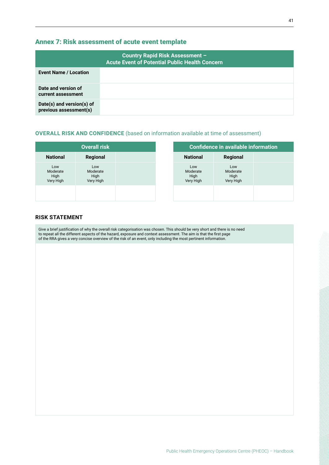#### <span id="page-40-0"></span>Annex 7: Risk assessment of acute event template

|                                                     | <b>Country Rapid Risk Assessment -</b><br><b>Acute Event of Potential Public Health Concern</b> |
|-----------------------------------------------------|-------------------------------------------------------------------------------------------------|
| <b>Event Name / Location</b>                        |                                                                                                 |
| Date and version of<br>current assessment           |                                                                                                 |
| Date(s) and version(s) of<br>previous assessment(s) |                                                                                                 |

#### **OVERALL RISK AND CONFIDENCE** (based on information available at time of assessment)

|                                      | <b>Overall risk</b>                  |  | <b>Confidence in available information</b> |                                      |  |  |
|--------------------------------------|--------------------------------------|--|--------------------------------------------|--------------------------------------|--|--|
| <b>National</b>                      | Regional                             |  | <b>National</b>                            | Regional                             |  |  |
| Low<br>Moderate<br>High<br>Very High | Low<br>Moderate<br>High<br>Very High |  | Low<br>Moderate<br>High<br>Very High       | Low<br>Moderate<br>High<br>Very High |  |  |
|                                      |                                      |  |                                            |                                      |  |  |

#### **RISK STATEMENT**

Give a brief justification of why the overall risk categorisation was chosen. This should be very short and there is no need to repeat all the different aspects of the hazard, exposure and context assessment. The aim is that the first page of the RRA gives a very concise overview of the risk of an event, only including the most pertinent information.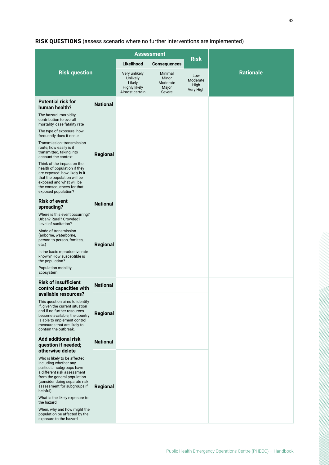**RISK QUESTIONS** (assess scenario where no further interventions are implemented)

|                                                                                                                                                                                                                               |                                                                               |                                                 | <b>Assessment</b>                    |                  |  |  |  |
|-------------------------------------------------------------------------------------------------------------------------------------------------------------------------------------------------------------------------------|-------------------------------------------------------------------------------|-------------------------------------------------|--------------------------------------|------------------|--|--|--|
|                                                                                                                                                                                                                               |                                                                               | Likelihood                                      | <b>Consequences</b>                  | <b>Risk</b>      |  |  |  |
| <b>Risk question</b>                                                                                                                                                                                                          | Very unlikely<br><b>Unlikely</b><br>Likely<br>Highly likely<br>Almost certain | Minimal<br>Minor<br>Moderate<br>Major<br>Severe | Low<br>Moderate<br>High<br>Very High | <b>Rationale</b> |  |  |  |
| <b>Potential risk for</b><br>human health?                                                                                                                                                                                    | <b>National</b>                                                               |                                                 |                                      |                  |  |  |  |
| The hazard: morbidity,<br>contribution to overall<br>mortality, case fatality rate                                                                                                                                            |                                                                               |                                                 |                                      |                  |  |  |  |
| The type of exposure: how<br>frequently does it occur                                                                                                                                                                         |                                                                               |                                                 |                                      |                  |  |  |  |
| Transmission: transmission<br>route, how easily is it<br>transmitted, taking into<br>account the context                                                                                                                      | Regional                                                                      |                                                 |                                      |                  |  |  |  |
| Think of the impact on the<br>health of population if they<br>are exposed: how likely is it<br>that the population will be<br>exposed and what will be<br>the consequences for that<br>exposed population?                    |                                                                               |                                                 |                                      |                  |  |  |  |
| <b>Risk of event</b><br>spreading?                                                                                                                                                                                            | <b>National</b>                                                               |                                                 |                                      |                  |  |  |  |
| Where is this event occurring?<br>Urban? Rural? Crowded?<br>Level of sanitation?                                                                                                                                              |                                                                               |                                                 |                                      |                  |  |  |  |
| Mode of transmission<br>(airborne, waterborne,<br>person-to-person, fomites,<br>etc.)                                                                                                                                         | Regional                                                                      |                                                 |                                      |                  |  |  |  |
| Is the basic reproductive rate<br>known? How susceptible is<br>the population?                                                                                                                                                |                                                                               |                                                 |                                      |                  |  |  |  |
| Population mobility<br>Ecosystem                                                                                                                                                                                              |                                                                               |                                                 |                                      |                  |  |  |  |
| <b>Risk of insufficient</b><br>control capacities with<br>available resources?                                                                                                                                                | <b>National</b>                                                               |                                                 |                                      |                  |  |  |  |
| This question aims to identify<br>if, given the current situation<br>and if no further resources<br>become available, the country<br>is able to implement control<br>measures that are likely to<br>contain the outbreak.     | Regional                                                                      |                                                 |                                      |                  |  |  |  |
| <b>Add additional risk</b><br>question if needed;<br>otherwise delete                                                                                                                                                         | <b>National</b>                                                               |                                                 |                                      |                  |  |  |  |
| Who is likely to be affected,<br>including whether any<br>particular subgroups have<br>a different risk assessment<br>from the general population<br>(consider doing separate risk<br>assessment for subgroups if<br>helpful) | Regional                                                                      |                                                 |                                      |                  |  |  |  |
| What is the likely exposure to<br>the hazard                                                                                                                                                                                  |                                                                               |                                                 |                                      |                  |  |  |  |
| When, why and how might the<br>population be affected by the<br>exposure to the hazard                                                                                                                                        |                                                                               |                                                 |                                      |                  |  |  |  |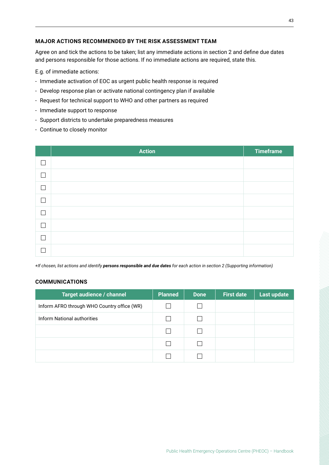#### **MAJOR ACTIONS RECOMMENDED BY THE RISK ASSESSMENT TEAM**

Agree on and tick the actions to be taken; list any immediate actions in section 2 and define due dates and persons responsible for those actions. If no immediate actions are required, state this.

E.g. of immediate actions:

- Immediate activation of EOC as urgent public health response is required
- Develop response plan or activate national contingency plan if available
- Request for technical support to WHO and other partners as required
- Immediate support to response
- Support districts to undertake preparedness measures
- Continue to closely monitor

|   | <b>Action</b> | <b>Timeframe</b> |
|---|---------------|------------------|
|   |               |                  |
|   |               |                  |
| ٦ |               |                  |
| Τ |               |                  |
|   |               |                  |
|   |               |                  |
|   |               |                  |
|   |               |                  |

*+If chosen, list actions and identify persons responsible and due dates for each action in section 2 (Supporting information)*

#### **COMMUNICATIONS**

| Target audience / channel                   | <b>Planned</b> | <b>Done</b> | <b>First date</b> | Last update |
|---------------------------------------------|----------------|-------------|-------------------|-------------|
| Inform AFRO through WHO Country office (WR) |                |             |                   |             |
| Inform National authorities                 |                |             |                   |             |
|                                             | L.             |             |                   |             |
|                                             |                |             |                   |             |
|                                             |                |             |                   |             |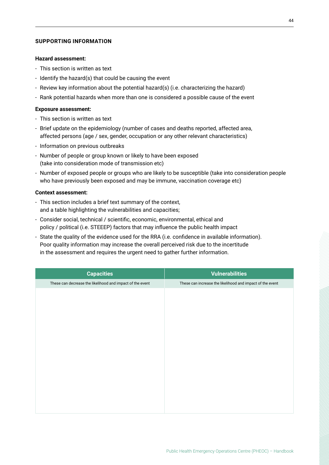#### **SUPPORTING INFORMATION**

#### **Hazard assessment:**

- This section is written as text
- Identify the hazard(s) that could be causing the event
- Review key information about the potential hazard(s) (i.e. characterizing the hazard)
- Rank potential hazards when more than one is considered a possible cause of the event

#### **Exposure assessment:**

- This section is written as text
- Brief update on the epidemiology (number of cases and deaths reported, affected area, affected persons (age / sex, gender, occupation or any other relevant characteristics)
- Information on previous outbreaks
- Number of people or group known or likely to have been exposed (take into consideration mode of transmission etc)
- Number of exposed people or groups who are likely to be susceptible (take into consideration people who have previously been exposed and may be immune, vaccination coverage etc)

#### **Context assessment:**

- This section includes a brief text summary of the context, and a table highlighting the vulnerabilities and capacities;
- Consider social, technical / scientific, economic, environmental, ethical and policy / political (i.e. STEEEP) factors that may influence the public health impact
- State the quality of the evidence used for the RRA (i.e. confidence in available information). Poor quality information may increase the overall perceived risk due to the incertitude in the assessment and requires the urgent need to gather further information.

| <b>Capacities</b>                                         | <b>Vulnerabilities</b>                                    |
|-----------------------------------------------------------|-----------------------------------------------------------|
| These can decrease the likelihood and impact of the event | These can increase the likelihood and impact of the event |
|                                                           |                                                           |
|                                                           |                                                           |
|                                                           |                                                           |
|                                                           |                                                           |
|                                                           |                                                           |
|                                                           |                                                           |
|                                                           |                                                           |
|                                                           |                                                           |
|                                                           |                                                           |
|                                                           |                                                           |
|                                                           |                                                           |
|                                                           |                                                           |
|                                                           |                                                           |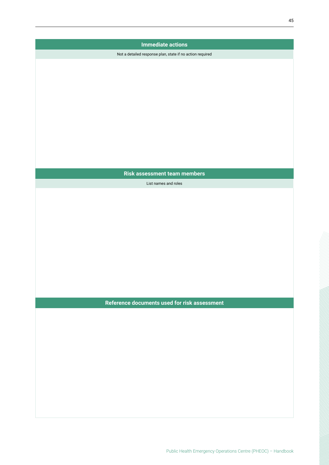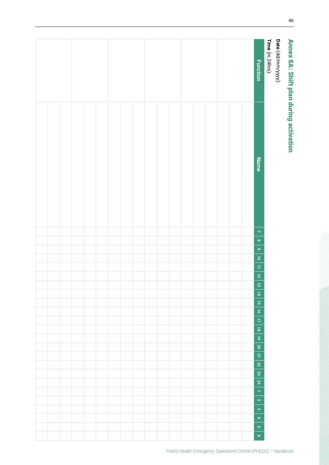<span id="page-45-0"></span>

| Date (dd/mm/yyyy):<br>Time (in 24hrs):<br>Annex 8A: Shift plan during activation |
|----------------------------------------------------------------------------------|
| <b>Function</b>                                                                  |
|                                                                                  |
|                                                                                  |
|                                                                                  |
|                                                                                  |
|                                                                                  |
|                                                                                  |
|                                                                                  |
|                                                                                  |
|                                                                                  |
|                                                                                  |
|                                                                                  |
|                                                                                  |
|                                                                                  |
|                                                                                  |
|                                                                                  |
|                                                                                  |
|                                                                                  |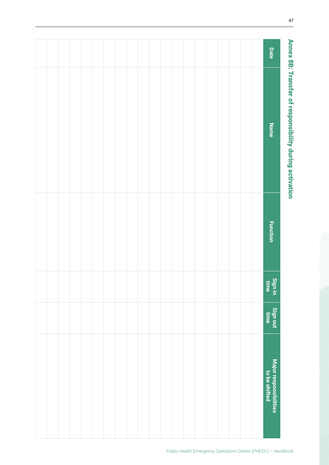<span id="page-46-0"></span>

| <b>Date</b>                             |  |  |  |  |  |  |  |  |  |
|-----------------------------------------|--|--|--|--|--|--|--|--|--|
| <b>Name</b>                             |  |  |  |  |  |  |  |  |  |
| <b>Function</b>                         |  |  |  |  |  |  |  |  |  |
| Sign in<br>time                         |  |  |  |  |  |  |  |  |  |
| Sign out<br>time                        |  |  |  |  |  |  |  |  |  |
| Major responsibilities<br>to be shifted |  |  |  |  |  |  |  |  |  |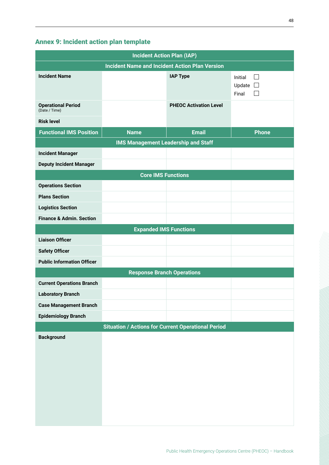### <span id="page-47-0"></span>Annex 9: Incident action plan template

| <b>Incident Action Plan (IAP)</b>                     |                                                           |                               |                                          |  |  |  |  |  |  |  |  |
|-------------------------------------------------------|-----------------------------------------------------------|-------------------------------|------------------------------------------|--|--|--|--|--|--|--|--|
| <b>Incident Name and Incident Action Plan Version</b> |                                                           |                               |                                          |  |  |  |  |  |  |  |  |
| <b>Incident Name</b>                                  |                                                           | <b>IAP Type</b>               | Initial<br>. I<br>Update $\Box$<br>Final |  |  |  |  |  |  |  |  |
| <b>Operational Period</b><br>(Date / Time)            |                                                           | <b>PHEOC Activation Level</b> |                                          |  |  |  |  |  |  |  |  |
| <b>Risk level</b>                                     |                                                           |                               |                                          |  |  |  |  |  |  |  |  |
| <b>Functional IMS Position</b>                        | <b>Name</b>                                               | <b>Email</b>                  | <b>Phone</b>                             |  |  |  |  |  |  |  |  |
|                                                       | <b>IMS Management Leadership and Staff</b>                |                               |                                          |  |  |  |  |  |  |  |  |
| <b>Incident Manager</b>                               |                                                           |                               |                                          |  |  |  |  |  |  |  |  |
| <b>Deputy Incident Manager</b>                        |                                                           |                               |                                          |  |  |  |  |  |  |  |  |
|                                                       | <b>Core IMS Functions</b>                                 |                               |                                          |  |  |  |  |  |  |  |  |
| <b>Operations Section</b>                             |                                                           |                               |                                          |  |  |  |  |  |  |  |  |
| <b>Plans Section</b>                                  |                                                           |                               |                                          |  |  |  |  |  |  |  |  |
| <b>Logistics Section</b>                              |                                                           |                               |                                          |  |  |  |  |  |  |  |  |
| <b>Finance &amp; Admin. Section</b>                   |                                                           |                               |                                          |  |  |  |  |  |  |  |  |
|                                                       | <b>Expanded IMS Functions</b>                             |                               |                                          |  |  |  |  |  |  |  |  |
| <b>Liaison Officer</b>                                |                                                           |                               |                                          |  |  |  |  |  |  |  |  |
| <b>Safety Officer</b>                                 |                                                           |                               |                                          |  |  |  |  |  |  |  |  |
| <b>Public Information Officer</b>                     |                                                           |                               |                                          |  |  |  |  |  |  |  |  |
|                                                       | <b>Response Branch Operations</b>                         |                               |                                          |  |  |  |  |  |  |  |  |
| <b>Current Operations Branch</b>                      |                                                           |                               |                                          |  |  |  |  |  |  |  |  |
| <b>Laboratory Branch</b>                              |                                                           |                               |                                          |  |  |  |  |  |  |  |  |
| <b>Case Management Branch</b>                         |                                                           |                               |                                          |  |  |  |  |  |  |  |  |
| <b>Epidemiology Branch</b>                            |                                                           |                               |                                          |  |  |  |  |  |  |  |  |
|                                                       | <b>Situation / Actions for Current Operational Period</b> |                               |                                          |  |  |  |  |  |  |  |  |
| <b>Background</b>                                     |                                                           |                               |                                          |  |  |  |  |  |  |  |  |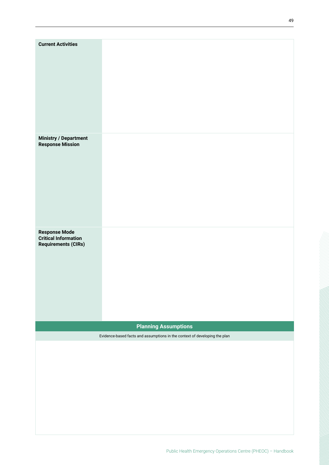| <b>Current Activities</b>                                                         |                                                                            |
|-----------------------------------------------------------------------------------|----------------------------------------------------------------------------|
| <b>Ministry / Department<br/>Response Mission</b>                                 |                                                                            |
| <b>Response Mode</b><br><b>Critical Information</b><br><b>Requirements (CIRs)</b> |                                                                            |
|                                                                                   | <b>Planning Assumptions</b>                                                |
|                                                                                   | Evidence-based facts and assumptions in the context of developing the plan |
|                                                                                   |                                                                            |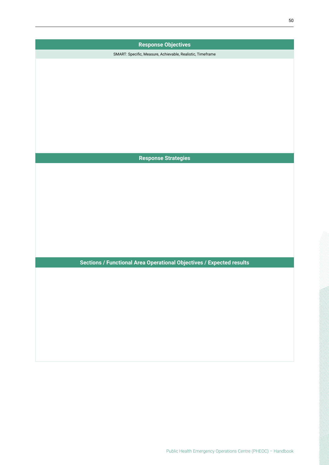| <b>Response Objectives</b>                                           |  |
|----------------------------------------------------------------------|--|
| SMART: Specific, Measure, Achievable, Realistic, Timeframe           |  |
|                                                                      |  |
|                                                                      |  |
|                                                                      |  |
|                                                                      |  |
|                                                                      |  |
|                                                                      |  |
|                                                                      |  |
|                                                                      |  |
|                                                                      |  |
| <b>Response Strategies</b>                                           |  |
|                                                                      |  |
|                                                                      |  |
|                                                                      |  |
|                                                                      |  |
|                                                                      |  |
|                                                                      |  |
|                                                                      |  |
|                                                                      |  |
|                                                                      |  |
| Sections / Functional Area Operational Objectives / Expected results |  |
|                                                                      |  |
|                                                                      |  |
|                                                                      |  |
|                                                                      |  |
|                                                                      |  |
|                                                                      |  |
|                                                                      |  |
|                                                                      |  |
|                                                                      |  |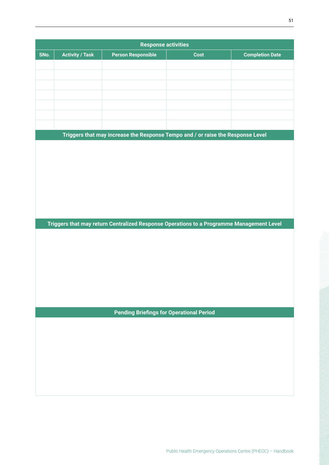|      |                        | <b>Response activities</b>                      |                                                                                          |                        |
|------|------------------------|-------------------------------------------------|------------------------------------------------------------------------------------------|------------------------|
| SNo. | <b>Activity / Task</b> | <b>Person Responsible</b>                       | Cost                                                                                     | <b>Completion Date</b> |
|      |                        |                                                 |                                                                                          |                        |
|      |                        |                                                 |                                                                                          |                        |
|      |                        |                                                 |                                                                                          |                        |
|      |                        |                                                 |                                                                                          |                        |
|      |                        |                                                 |                                                                                          |                        |
|      |                        |                                                 |                                                                                          |                        |
|      |                        |                                                 |                                                                                          |                        |
|      |                        |                                                 | Triggers that may increase the Response Tempo and / or raise the Response Level          |                        |
|      |                        |                                                 |                                                                                          |                        |
|      |                        |                                                 |                                                                                          |                        |
|      |                        |                                                 |                                                                                          |                        |
|      |                        |                                                 |                                                                                          |                        |
|      |                        |                                                 |                                                                                          |                        |
|      |                        |                                                 |                                                                                          |                        |
|      |                        |                                                 |                                                                                          |                        |
|      |                        |                                                 | Triggers that may return Centralized Response Operations to a Programme Management Level |                        |
|      |                        |                                                 |                                                                                          |                        |
|      |                        |                                                 |                                                                                          |                        |
|      |                        |                                                 |                                                                                          |                        |
|      |                        |                                                 |                                                                                          |                        |
|      |                        |                                                 |                                                                                          |                        |
|      |                        |                                                 |                                                                                          |                        |
|      |                        |                                                 |                                                                                          |                        |
|      |                        |                                                 |                                                                                          |                        |
|      |                        | <b>Pending Briefings for Operational Period</b> |                                                                                          |                        |
|      |                        |                                                 |                                                                                          |                        |
|      |                        |                                                 |                                                                                          |                        |
|      |                        |                                                 |                                                                                          |                        |
|      |                        |                                                 |                                                                                          |                        |
|      |                        |                                                 |                                                                                          |                        |
|      |                        |                                                 |                                                                                          |                        |
|      |                        |                                                 |                                                                                          |                        |
|      |                        |                                                 |                                                                                          |                        |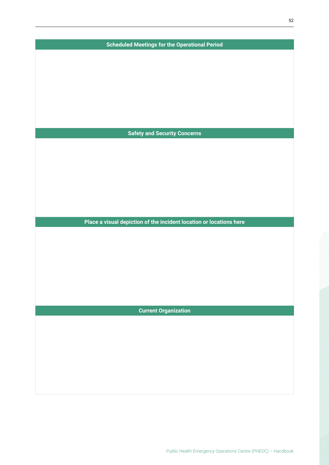| <b>Scheduled Meetings for the Operational Period</b>                |
|---------------------------------------------------------------------|
|                                                                     |
|                                                                     |
|                                                                     |
|                                                                     |
|                                                                     |
|                                                                     |
|                                                                     |
|                                                                     |
| <b>Safety and Security Concerns</b>                                 |
|                                                                     |
|                                                                     |
|                                                                     |
|                                                                     |
|                                                                     |
|                                                                     |
|                                                                     |
| Place a visual depiction of the incident location or locations here |
|                                                                     |
|                                                                     |
|                                                                     |
|                                                                     |
|                                                                     |
|                                                                     |
|                                                                     |
|                                                                     |
| <b>Current Organization</b>                                         |
|                                                                     |
|                                                                     |
|                                                                     |
|                                                                     |
|                                                                     |
|                                                                     |
|                                                                     |
|                                                                     |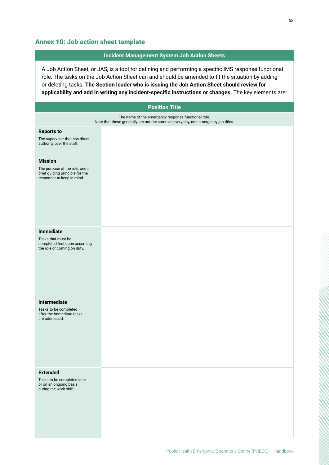### **Incident Management System Job Action Sheets**

<span id="page-52-0"></span>

|                                                                                                                                           | A Job Action Sheet, or JAS, is a tool for defining and performing a specific IMS response functional<br>role. The tasks on the Job Action Sheet can and should be amended to fit the situation by adding<br>or deleting tasks. The Section leader who is issuing the Job Action Sheet should review for<br>applicability and add in writing any incident-specific instructions or changes. The key elements are: |  |  |  |  |  |  |  |
|-------------------------------------------------------------------------------------------------------------------------------------------|------------------------------------------------------------------------------------------------------------------------------------------------------------------------------------------------------------------------------------------------------------------------------------------------------------------------------------------------------------------------------------------------------------------|--|--|--|--|--|--|--|
|                                                                                                                                           | <b>Position Title</b>                                                                                                                                                                                                                                                                                                                                                                                            |  |  |  |  |  |  |  |
| The name of the emergency response functional role.<br>Note that these generally are not the same as every day, non-emergency job titles. |                                                                                                                                                                                                                                                                                                                                                                                                                  |  |  |  |  |  |  |  |
| <b>Reports to</b><br>The supervisor that has direct<br>authority over the staff.                                                          |                                                                                                                                                                                                                                                                                                                                                                                                                  |  |  |  |  |  |  |  |
| <b>Mission</b><br>The purpose of the role, and a<br>brief guiding principle for the<br>responder to keep in mind.                         |                                                                                                                                                                                                                                                                                                                                                                                                                  |  |  |  |  |  |  |  |
| <b>Immediate</b><br>Tasks that must be<br>completed first upon assuming<br>the role or coming on duty.                                    |                                                                                                                                                                                                                                                                                                                                                                                                                  |  |  |  |  |  |  |  |
| Intermediate<br>Tasks to be completed<br>after the immediate tasks<br>are addressed.                                                      |                                                                                                                                                                                                                                                                                                                                                                                                                  |  |  |  |  |  |  |  |
| <b>Extended</b><br>Tasks to be completed later<br>or on an ongoing basis<br>during the work shift.                                        |                                                                                                                                                                                                                                                                                                                                                                                                                  |  |  |  |  |  |  |  |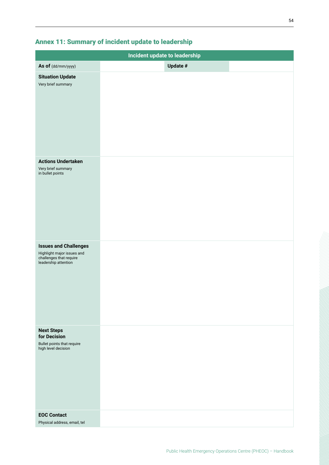|                                                                               | Incident update to leadership |
|-------------------------------------------------------------------------------|-------------------------------|
|                                                                               |                               |
| As of (dd/mm/yyyy)                                                            | Update $\#$                   |
| <b>Situation Update</b><br>Very brief summary                                 |                               |
|                                                                               |                               |
|                                                                               |                               |
|                                                                               |                               |
|                                                                               |                               |
|                                                                               |                               |
|                                                                               |                               |
|                                                                               |                               |
|                                                                               |                               |
| <b>Actions Undertaken</b>                                                     |                               |
| Very brief summary<br>in bullet points                                        |                               |
|                                                                               |                               |
|                                                                               |                               |
|                                                                               |                               |
|                                                                               |                               |
|                                                                               |                               |
|                                                                               |                               |
|                                                                               |                               |
| <b>Issues and Challenges</b>                                                  |                               |
| Highlight major issues and<br>challenges that require<br>leadership attention |                               |
|                                                                               |                               |
|                                                                               |                               |
|                                                                               |                               |
|                                                                               |                               |
|                                                                               |                               |
|                                                                               |                               |
|                                                                               |                               |
| <b>Next Steps</b>                                                             |                               |
| for Decision                                                                  |                               |
| Bullet points that require<br>high level decision                             |                               |
|                                                                               |                               |
|                                                                               |                               |
|                                                                               |                               |
|                                                                               |                               |
|                                                                               |                               |
|                                                                               |                               |
| <b>EOC Contact</b>                                                            |                               |
| Physical address, email, tel                                                  |                               |

### <span id="page-53-0"></span>Annex 11: Summary of incident update to leadership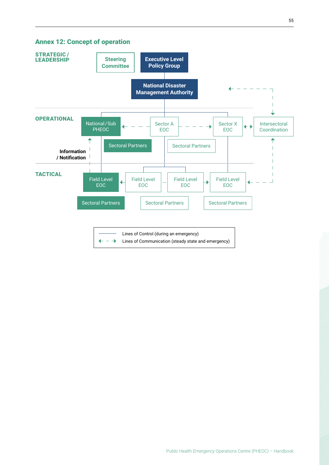#### <span id="page-54-0"></span>Annex 12: Concept of operation

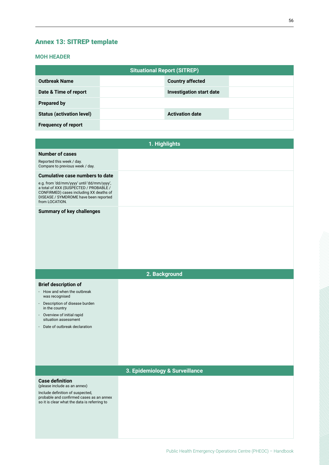### <span id="page-55-0"></span>Annex 13: SITREP template

#### **MOH HEADER**

|                                  | <b>Situational Report (SITREP)</b> |                          |  |  |  |  |  |  |  |  |
|----------------------------------|------------------------------------|--------------------------|--|--|--|--|--|--|--|--|
| <b>Outbreak Name</b>             |                                    | <b>Country affected</b>  |  |  |  |  |  |  |  |  |
| Date & Time of report            |                                    | Investigation start date |  |  |  |  |  |  |  |  |
| <b>Prepared by</b>               |                                    |                          |  |  |  |  |  |  |  |  |
| <b>Status (activation level)</b> |                                    | <b>Activation date</b>   |  |  |  |  |  |  |  |  |
| <b>Frequency of report</b>       |                                    |                          |  |  |  |  |  |  |  |  |

|                                                                                                                                                                                                                                      | 1. Highlights                  |
|--------------------------------------------------------------------------------------------------------------------------------------------------------------------------------------------------------------------------------------|--------------------------------|
| <b>Number of cases</b><br>Reported this week / day.<br>Compare to previous week / day.                                                                                                                                               |                                |
| <b>Cumulative case numbers to date</b><br>e.g. from 'dd/mm/yyyy' until 'dd/mm/yyyy',<br>a total of XXX (SUSPECTED / PROBABLE /<br>CONFIRMED) cases including XX deaths of<br>DISEASE / SYMDROME have been reported<br>from LOCATION. |                                |
| <b>Summary of key challenges</b>                                                                                                                                                                                                     |                                |
|                                                                                                                                                                                                                                      | 2. Background                  |
| <b>Brief description of</b><br>- How and when the outbreak<br>was recognised<br>- Description of disease burden<br>in the country<br>- Overview of initial rapid<br>situation assessment<br>- Date of outbreak declaration           |                                |
|                                                                                                                                                                                                                                      | 3. Epidemiology & Surveillance |
| <b>Case definition</b><br>(please include as an annex)<br>Include definition of suspected,<br>probable and confirmed cases as an annex<br>so it is clear what the data is referring to                                               |                                |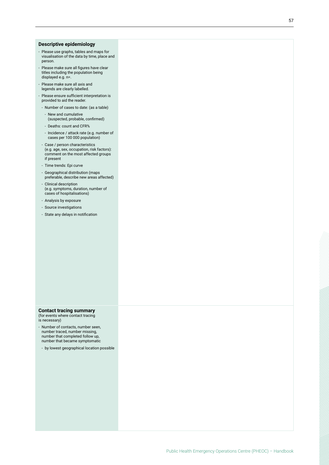#### **Descriptive epidemiology**

- Please use graphs, tables and maps for visualisation of the data by time, place and person.
- Please make sure all figures have clear titles including the population being displayed e.g. n=.
- Please make sure all axis and legends are clearly labelled.
- Please ensure sufficient interpretation is provided to aid the reader.
- Number of cases to date: (as a table)
	- New and cumulative (suspected, probable, confirmed)
	- Deaths: count and CFR%
- Incidence / attack rate (e.g. number of cases per 100 000 population)
- Case / person characteristics (e.g. age, sex, occupation, risk factors): comment on the most affected groups if present
- Time trends: Epi curve
- Geographical distribution (maps preferable, describe new areas affected)
- Clinical description (e.g. symptoms, duration, number of cases of hospitalisations)
- Analysis by exposure
- Source investigations
- State any delays in notification

### **Contact tracing summary**  (for events where contact tracing

- is necessary)
- Number of contacts, number seen, number traced, number missing, number that completed follow up, number that became symptomatic
- by lowest geographical location possible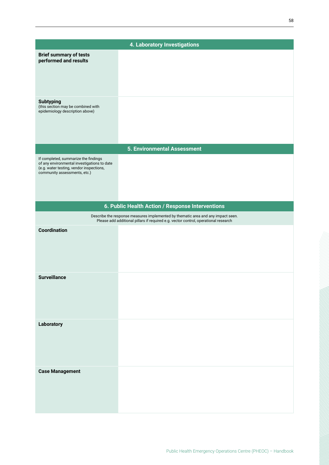|                                                                                                                                                                 | 4. Laboratory Investigations                                                                                                                                            |
|-----------------------------------------------------------------------------------------------------------------------------------------------------------------|-------------------------------------------------------------------------------------------------------------------------------------------------------------------------|
| <b>Brief summary of tests</b><br>performed and results                                                                                                          |                                                                                                                                                                         |
|                                                                                                                                                                 |                                                                                                                                                                         |
| <b>Subtyping</b><br>(this section may be combined with                                                                                                          |                                                                                                                                                                         |
| epidemiology description above)                                                                                                                                 |                                                                                                                                                                         |
|                                                                                                                                                                 |                                                                                                                                                                         |
|                                                                                                                                                                 | <b>5. Environmental Assessment</b>                                                                                                                                      |
| If completed, summarize the findings<br>of any environmental investigations to date<br>(e.g. water testing, vendor inspections,<br>community assessments, etc.) |                                                                                                                                                                         |
|                                                                                                                                                                 |                                                                                                                                                                         |
|                                                                                                                                                                 | 6. Public Health Action / Response Interventions                                                                                                                        |
|                                                                                                                                                                 | Describe the response measures implemented by thematic area and any impact seen.<br>Please add additional pillars if required e.g. vector control, operational research |
| <b>Coordination</b>                                                                                                                                             |                                                                                                                                                                         |
| <b>Surveillance</b>                                                                                                                                             |                                                                                                                                                                         |
| Laboratory                                                                                                                                                      |                                                                                                                                                                         |
| <b>Case Management</b>                                                                                                                                          |                                                                                                                                                                         |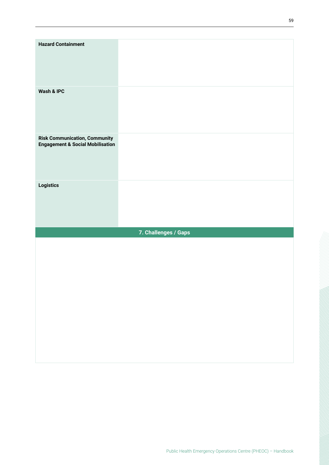| <b>Hazard Containment</b>                                         |                      |
|-------------------------------------------------------------------|----------------------|
| Wash & IPC                                                        |                      |
| Risk Communication, Community<br>Engagement & Social Mobilisation |                      |
| Logistics                                                         |                      |
|                                                                   | 7. Challenges / Gaps |
|                                                                   |                      |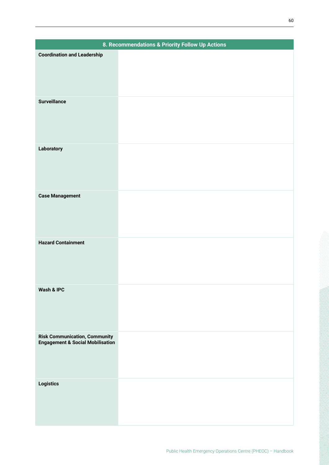|                                                                                     | 8. Recommendations & Priority Follow Up Actions |
|-------------------------------------------------------------------------------------|-------------------------------------------------|
| <b>Coordination and Leadership</b>                                                  |                                                 |
|                                                                                     |                                                 |
|                                                                                     |                                                 |
|                                                                                     |                                                 |
| <b>Surveillance</b>                                                                 |                                                 |
|                                                                                     |                                                 |
|                                                                                     |                                                 |
|                                                                                     |                                                 |
|                                                                                     |                                                 |
| Laboratory                                                                          |                                                 |
|                                                                                     |                                                 |
|                                                                                     |                                                 |
|                                                                                     |                                                 |
|                                                                                     |                                                 |
| <b>Case Management</b>                                                              |                                                 |
|                                                                                     |                                                 |
|                                                                                     |                                                 |
|                                                                                     |                                                 |
| <b>Hazard Containment</b>                                                           |                                                 |
|                                                                                     |                                                 |
|                                                                                     |                                                 |
|                                                                                     |                                                 |
| Wash & IPC                                                                          |                                                 |
|                                                                                     |                                                 |
|                                                                                     |                                                 |
|                                                                                     |                                                 |
|                                                                                     |                                                 |
| <b>Risk Communication, Community</b><br><b>Engagement &amp; Social Mobilisation</b> |                                                 |
|                                                                                     |                                                 |
|                                                                                     |                                                 |
|                                                                                     |                                                 |
| Logistics                                                                           |                                                 |
|                                                                                     |                                                 |
|                                                                                     |                                                 |
|                                                                                     |                                                 |
|                                                                                     |                                                 |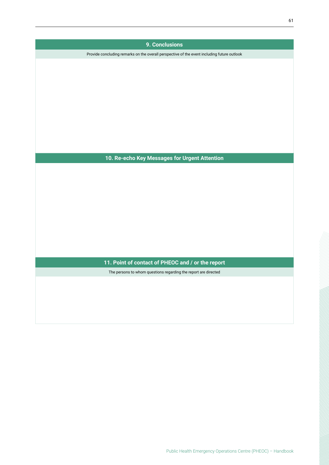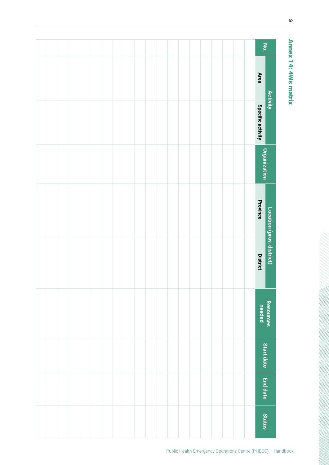<span id="page-61-0"></span>

|                           | No.                 |  |  |  |  |  |  |  |  |  |  |
|---------------------------|---------------------|--|--|--|--|--|--|--|--|--|--|
|                           | <b>Area</b>         |  |  |  |  |  |  |  |  |  |  |
| <b>Activity</b>           | Specific activity   |  |  |  |  |  |  |  |  |  |  |
|                           | <b>Organization</b> |  |  |  |  |  |  |  |  |  |  |
| Location (prov, district) | Province            |  |  |  |  |  |  |  |  |  |  |
|                           | <b>District</b>     |  |  |  |  |  |  |  |  |  |  |
| Resources                 | needed              |  |  |  |  |  |  |  |  |  |  |
|                           | Start date          |  |  |  |  |  |  |  |  |  |  |
| <b>End date</b>           |                     |  |  |  |  |  |  |  |  |  |  |
|                           | <b>Status</b>       |  |  |  |  |  |  |  |  |  |  |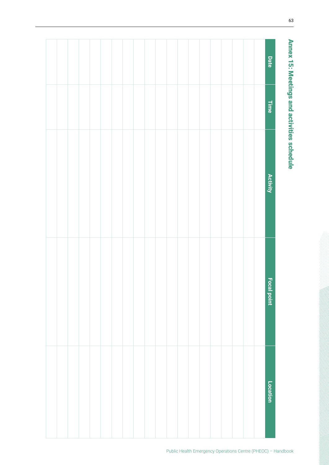<span id="page-62-0"></span>

| Date               |  |  |  |  |  |  |  |  |  |  |
|--------------------|--|--|--|--|--|--|--|--|--|--|
| Time               |  |  |  |  |  |  |  |  |  |  |
| Activity           |  |  |  |  |  |  |  |  |  |  |
| <b>Focal point</b> |  |  |  |  |  |  |  |  |  |  |
| Location           |  |  |  |  |  |  |  |  |  |  |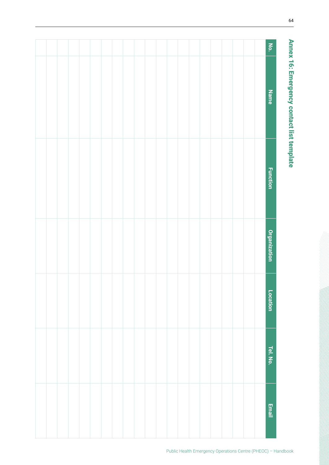<span id="page-63-0"></span>

| No.                 |  |  |  |  |  |  |  |  |  |  |
|---------------------|--|--|--|--|--|--|--|--|--|--|
| <b>Name</b>         |  |  |  |  |  |  |  |  |  |  |
| <b>Function</b>     |  |  |  |  |  |  |  |  |  |  |
| <b>Organization</b> |  |  |  |  |  |  |  |  |  |  |
| Location            |  |  |  |  |  |  |  |  |  |  |
| Tel. No.            |  |  |  |  |  |  |  |  |  |  |
| <b>Email</b>        |  |  |  |  |  |  |  |  |  |  |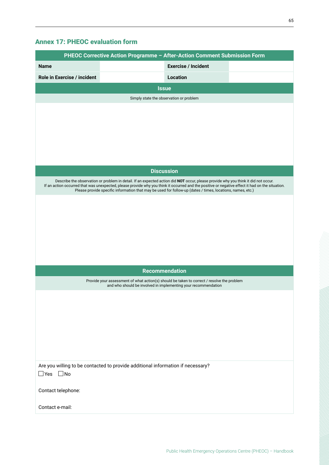### <span id="page-64-0"></span>Annex 17: PHEOC evaluation form

|                                                                                 | PHEOC Corrective Action Programme - After-Action Comment Submission Form                                                                                                                                                                                       |
|---------------------------------------------------------------------------------|----------------------------------------------------------------------------------------------------------------------------------------------------------------------------------------------------------------------------------------------------------------|
| <b>Name</b>                                                                     | <b>Exercise / Incident</b>                                                                                                                                                                                                                                     |
| Role in Exercise / incident                                                     | <b>Location</b>                                                                                                                                                                                                                                                |
|                                                                                 | <b>Issue</b>                                                                                                                                                                                                                                                   |
|                                                                                 | Simply state the observation or problem                                                                                                                                                                                                                        |
|                                                                                 |                                                                                                                                                                                                                                                                |
|                                                                                 |                                                                                                                                                                                                                                                                |
|                                                                                 |                                                                                                                                                                                                                                                                |
|                                                                                 |                                                                                                                                                                                                                                                                |
|                                                                                 |                                                                                                                                                                                                                                                                |
|                                                                                 | <b>Discussion</b>                                                                                                                                                                                                                                              |
|                                                                                 | Describe the observation or problem in detail. If an expected action did NOT occur, please provide why you think it did not occur.                                                                                                                             |
|                                                                                 | If an action occurred that was unexpected, please provide why you think it occurred and the positive or negative effect it had on the situation.<br>Please provide specific information that may be used for follow-up (dates / times, locations, names, etc.) |
|                                                                                 |                                                                                                                                                                                                                                                                |
|                                                                                 |                                                                                                                                                                                                                                                                |
|                                                                                 |                                                                                                                                                                                                                                                                |
|                                                                                 |                                                                                                                                                                                                                                                                |
|                                                                                 |                                                                                                                                                                                                                                                                |
|                                                                                 |                                                                                                                                                                                                                                                                |
|                                                                                 | <b>Recommendation</b>                                                                                                                                                                                                                                          |
|                                                                                 | Provide your assessment of what action(s) should be taken to correct / resolve the problem<br>and who should be involved in implementing your recommendation                                                                                                   |
|                                                                                 |                                                                                                                                                                                                                                                                |
|                                                                                 |                                                                                                                                                                                                                                                                |
|                                                                                 |                                                                                                                                                                                                                                                                |
|                                                                                 |                                                                                                                                                                                                                                                                |
|                                                                                 |                                                                                                                                                                                                                                                                |
|                                                                                 |                                                                                                                                                                                                                                                                |
| Are you willing to be contacted to provide additional information if necessary? |                                                                                                                                                                                                                                                                |
| $\Box$ Yes<br>$\Box$ No                                                         |                                                                                                                                                                                                                                                                |
| Contact telephone:                                                              |                                                                                                                                                                                                                                                                |
|                                                                                 |                                                                                                                                                                                                                                                                |
| Contact e-mail:                                                                 |                                                                                                                                                                                                                                                                |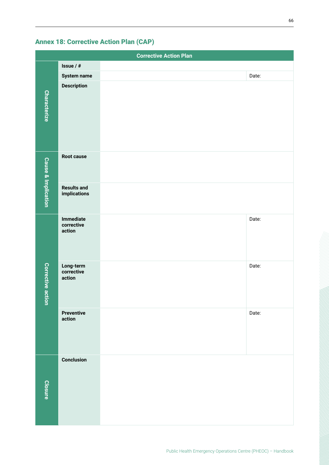|                                |                                    | <b>Corrective Action Plan</b> |       |
|--------------------------------|------------------------------------|-------------------------------|-------|
|                                | Issue / #                          |                               |       |
|                                | <b>System name</b>                 |                               | Date: |
| <b>Characterize</b>            | <b>Description</b>                 |                               |       |
|                                | Root cause                         |                               |       |
| <b>Cause &amp; Implication</b> | <b>Results and</b><br>implications |                               |       |
|                                | Immediate<br>corrective<br>action  |                               | Date: |
| <b>Corrective action</b>       | Long-term<br>corrective<br>action  |                               | Date: |
|                                | <b>Preventive</b><br>action        |                               | Date: |
| <b>Closure</b>                 | <b>Conclusion</b>                  |                               |       |

### <span id="page-65-0"></span>Annex 18: Corrective Action Plan (CAP)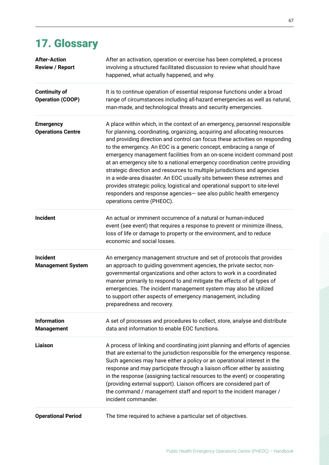## <span id="page-66-0"></span>17. Glossary

| <b>After-Action</b><br><b>Review / Report</b>   | After an activation, operation or exercise has been completed, a process<br>involving a structured facilitated discussion to review what should have<br>happened, what actually happened, and why.                                                                                                                                                                                                                                                                                                                                                                                                                                                                                                                                                                                                                 |
|-------------------------------------------------|--------------------------------------------------------------------------------------------------------------------------------------------------------------------------------------------------------------------------------------------------------------------------------------------------------------------------------------------------------------------------------------------------------------------------------------------------------------------------------------------------------------------------------------------------------------------------------------------------------------------------------------------------------------------------------------------------------------------------------------------------------------------------------------------------------------------|
| <b>Continuity of</b><br><b>Operation (COOP)</b> | It is to continue operation of essential response functions under a broad<br>range of circumstances including all-hazard emergencies as well as natural,<br>man-made, and technological threats and security emergencies.                                                                                                                                                                                                                                                                                                                                                                                                                                                                                                                                                                                          |
| <b>Emergency</b><br><b>Operations Centre</b>    | A place within which, in the context of an emergency, personnel responsible<br>for planning, coordinating, organizing, acquiring and allocating resources<br>and providing direction and control can focus these activities on responding<br>to the emergency. An EOC is a generic concept, embracing a range of<br>emergency management facilities from an on-scene incident command post<br>at an emergency site to a national emergency coordination centre providing<br>strategic direction and resources to multiple jurisdictions and agencies<br>in a wide-area disaster. An EOC usually sits between these extremes and<br>provides strategic policy, logistical and operational support to site-level<br>responders and response agencies- see also public health emergency<br>operations centre (PHEOC). |
| <b>Incident</b>                                 | An actual or imminent occurrence of a natural or human-induced<br>event (see event) that requires a response to prevent or minimize illness,<br>loss of life or damage to property or the environment, and to reduce<br>economic and social losses.                                                                                                                                                                                                                                                                                                                                                                                                                                                                                                                                                                |
| <b>Incident</b><br><b>Management System</b>     | An emergency management structure and set of protocols that provides<br>an approach to guiding government agencies, the private sector, non-<br>governmental organizations and other actors to work in a coordinated<br>manner primarily to respond to and mitigate the effects of all types of<br>emergencies. The incident management system may also be utilized<br>to support other aspects of emergency management, including<br>preparedness and recovery.                                                                                                                                                                                                                                                                                                                                                   |
| <b>Information</b><br><b>Management</b>         | A set of processes and procedures to collect, store, analyse and distribute<br>data and information to enable EOC functions.                                                                                                                                                                                                                                                                                                                                                                                                                                                                                                                                                                                                                                                                                       |
| <b>Liaison</b>                                  | A process of linking and coordinating joint planning and efforts of agencies<br>that are external to the jurisdiction responsible for the emergency response.<br>Such agencies may have either a policy or an operational interest in the<br>response and may participate through a liaison officer either by assisting<br>in the response (assigning tactical resources to the event) or cooperating<br>(providing external support). Liaison officers are considered part of<br>the command / management staff and report to the incident manager /<br>incident commander.                                                                                                                                                                                                                                       |
| <b>Operational Period</b>                       | The time required to achieve a particular set of objectives.                                                                                                                                                                                                                                                                                                                                                                                                                                                                                                                                                                                                                                                                                                                                                       |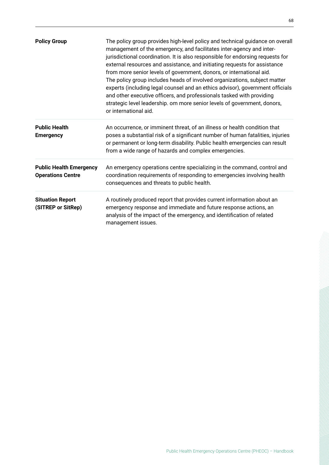| <b>Policy Group</b>                                        | The policy group provides high-level policy and technical guidance on overall<br>management of the emergency, and facilitates inter-agency and inter-<br>jurisdictional coordination. It is also responsible for endorsing requests for<br>external resources and assistance, and initiating requests for assistance<br>from more senior levels of government, donors, or international aid.<br>The policy group includes heads of involved organizations, subject matter<br>experts (including legal counsel and an ethics advisor), government officials<br>and other executive officers, and professionals tasked with providing<br>strategic level leadership. om more senior levels of government, donors,<br>or international aid. |
|------------------------------------------------------------|------------------------------------------------------------------------------------------------------------------------------------------------------------------------------------------------------------------------------------------------------------------------------------------------------------------------------------------------------------------------------------------------------------------------------------------------------------------------------------------------------------------------------------------------------------------------------------------------------------------------------------------------------------------------------------------------------------------------------------------|
| <b>Public Health</b><br><b>Emergency</b>                   | An occurrence, or imminent threat, of an illness or health condition that<br>poses a substantial risk of a significant number of human fatalities, injuries<br>or permanent or long-term disability. Public health emergencies can result<br>from a wide range of hazards and complex emergencies.                                                                                                                                                                                                                                                                                                                                                                                                                                       |
| <b>Public Health Emergency</b><br><b>Operations Centre</b> | An emergency operations centre specializing in the command, control and<br>coordination requirements of responding to emergencies involving health<br>consequences and threats to public health.                                                                                                                                                                                                                                                                                                                                                                                                                                                                                                                                         |
| <b>Situation Report</b><br>(SITREP or SitRep)              | A routinely produced report that provides current information about an<br>emergency response and immediate and future response actions, an<br>analysis of the impact of the emergency, and identification of related<br>management issues.                                                                                                                                                                                                                                                                                                                                                                                                                                                                                               |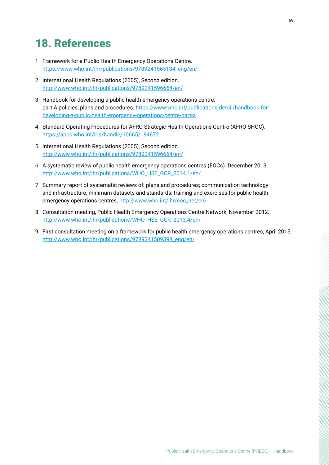### <span id="page-68-0"></span>18. References

- 1. Framework for a Public Health Emergency Operations Centre. [https://www.who.int/ihr/publications/9789241565134\\_eng/en/](https://www.who.int/ihr/publications/9789241565134_eng/en/)
- 2. International Health Regulations (2005), Second edition. [http://www.who.int/ihr/publications/9789241596664/en/](http://www.who.int/ihr/publications/9789241596664/en/
)
- 3. Handbook for developing a public health emergency operations centre: part A policies, plans and procedures. [https://www.who.int/publications-detail/handbook-for](https://www.who.int/publications-detail/handbook-for-developing-a-public-health-emergency-operations-centre-part-a
)[developing-a-public-health-emergency-operations-centre-part-a](https://www.who.int/publications-detail/handbook-for-developing-a-public-health-emergency-operations-centre-part-a
)
- 4. Standard Operating Procedures for AFRO Strategic Health Operations Centre (AFRO SHOC). [https://apps.who.int/iris/handle/10665/184672](https://apps.who.int/iris/handle/10665/184672 )
- 5. International Health Regulations (2005), Second edition. <http://www.who.int/ihr/publications/9789241596664/en/>
- 6. A systematic review of public health emergency operations centres (EOCs). December 2013. [http://www.who.int/ihr/publications/WHO\\_HSE\\_GCR\\_2014.1/en/](http://www.who.int/ihr/publications/WHO_HSE_GCR_2014.1/en/)
- 7. Summary report of systematic reviews of: plans and procedures; communication technology and infrastructure; minimum datasets and standards; training and exercises for public health emergency operations centres. [http://www.who.int/ihr/eoc\\_net/en/](http://www.who.int/ihr/eoc_net/en/)
- 8. Consultation meeting, Public Health Emergency Operations Centre Network, November 2012. [http://www.who.int/ihr/publications/WHO\\_HSE\\_GCR\\_2013.4/en/](http://www.who.int/ihr/publications/WHO_HSE_GCR_2013.4/en/)
- 9. First consultation meeting on a framework for public health emergency operations centres, April 2015. [http://www.who.int/ihr/publications/9789241509398\\_eng/en/](http://www.who.int/ihr/publications/9789241509398_eng/en/)